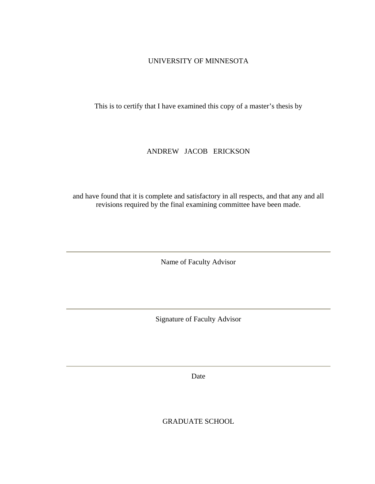### UNIVERSITY OF MINNESOTA

This is to certify that I have examined this copy of a master's thesis by

### ANDREW JACOB ERICKSON

and have found that it is complete and satisfactory in all respects, and that any and all revisions required by the final examining committee have been made.

Name of Faculty Advisor

Signature of Faculty Advisor

Date

GRADUATE SCHOOL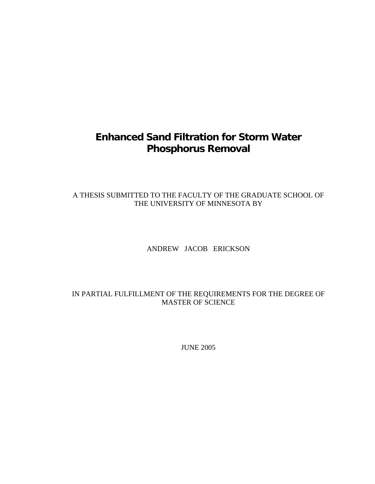# **Enhanced Sand Filtration for Storm Water Phosphorus Removal**

# A THESIS SUBMITTED TO THE FACULTY OF THE GRADUATE SCHOOL OF THE UNIVERSITY OF MINNESOTA BY

### ANDREW JACOB ERICKSON

# IN PARTIAL FULFILLMENT OF THE REQUIREMENTS FOR THE DEGREE OF MASTER OF SCIENCE

JUNE 2005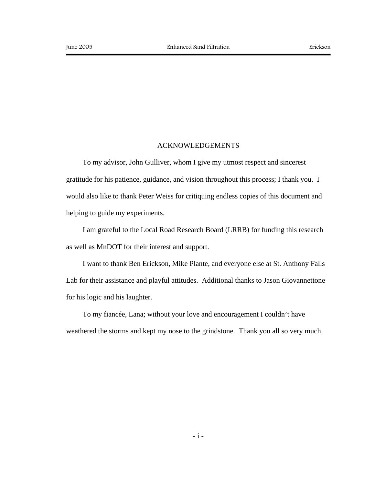#### ACKNOWLEDGEMENTS

To my advisor, John Gulliver, whom I give my utmost respect and sincerest gratitude for his patience, guidance, and vision throughout this process; I thank you. I would also like to thank Peter Weiss for critiquing endless copies of this document and helping to guide my experiments.

I am grateful to the Local Road Research Board (LRRB) for funding this research as well as MnDOT for their interest and support.

I want to thank Ben Erickson, Mike Plante, and everyone else at St. Anthony Falls Lab for their assistance and playful attitudes. Additional thanks to Jason Giovannettone for his logic and his laughter.

To my fiancée, Lana; without your love and encouragement I couldn't have weathered the storms and kept my nose to the grindstone. Thank you all so very much.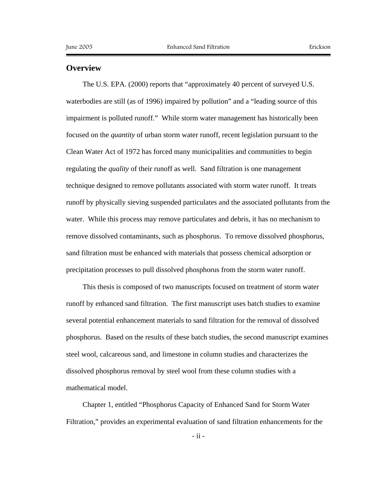### **Overview**

The U.S. EPA. (2000) reports that "approximately 40 percent of surveyed U.S. waterbodies are still (as of 1996) impaired by pollution" and a "leading source of this impairment is polluted runoff." While storm water management has historically been focused on the *quantity* of urban storm water runoff, recent legislation pursuant to the Clean Water Act of 1972 has forced many municipalities and communities to begin regulating the *quality* of their runoff as well. Sand filtration is one management technique designed to remove pollutants associated with storm water runoff. It treats runoff by physically sieving suspended particulates and the associated pollutants from the water. While this process may remove particulates and debris, it has no mechanism to remove dissolved contaminants, such as phosphorus. To remove dissolved phosphorus, sand filtration must be enhanced with materials that possess chemical adsorption or precipitation processes to pull dissolved phosphorus from the storm water runoff.

This thesis is composed of two manuscripts focused on treatment of storm water runoff by enhanced sand filtration. The first manuscript uses batch studies to examine several potential enhancement materials to sand filtration for the removal of dissolved phosphorus. Based on the results of these batch studies, the second manuscript examines steel wool, calcareous sand, and limestone in column studies and characterizes the dissolved phosphorus removal by steel wool from these column studies with a mathematical model.

Chapter 1, entitled "Phosphorus Capacity of Enhanced Sand for Storm Water Filtration," provides an experimental evaluation of sand filtration enhancements for the

 $-$  ii  $-$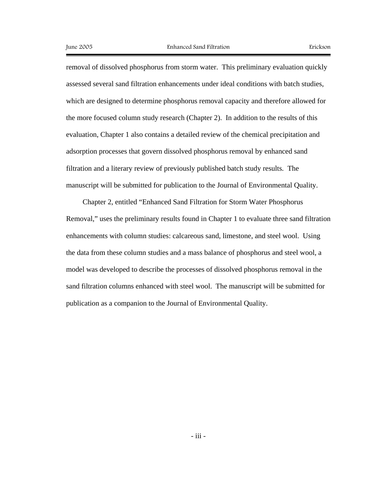removal of dissolved phosphorus from storm water. This preliminary evaluation quickly assessed several sand filtration enhancements under ideal conditions with batch studies, which are designed to determine phosphorus removal capacity and therefore allowed for the more focused column study research (Chapter 2). In addition to the results of this evaluation, Chapter 1 also contains a detailed review of the chemical precipitation and adsorption processes that govern dissolved phosphorus removal by enhanced sand filtration and a literary review of previously published batch study results. The manuscript will be submitted for publication to the Journal of Environmental Quality.

Chapter 2, entitled "Enhanced Sand Filtration for Storm Water Phosphorus Removal," uses the preliminary results found in Chapter 1 to evaluate three sand filtration enhancements with column studies: calcareous sand, limestone, and steel wool. Using the data from these column studies and a mass balance of phosphorus and steel wool, a model was developed to describe the processes of dissolved phosphorus removal in the sand filtration columns enhanced with steel wool. The manuscript will be submitted for publication as a companion to the Journal of Environmental Quality.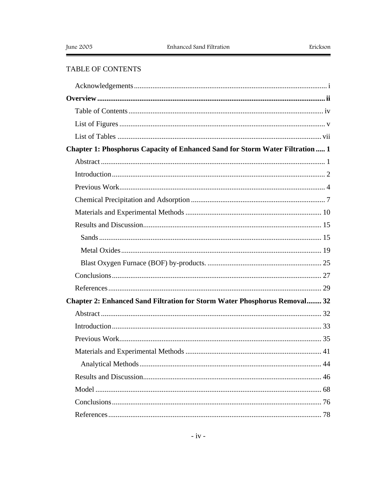## TABLE OF CONTENTS

| Chapter 1: Phosphorus Capacity of Enhanced Sand for Storm Water Filtration  1 |  |
|-------------------------------------------------------------------------------|--|
|                                                                               |  |
|                                                                               |  |
|                                                                               |  |
|                                                                               |  |
|                                                                               |  |
|                                                                               |  |
|                                                                               |  |
|                                                                               |  |
|                                                                               |  |
|                                                                               |  |
|                                                                               |  |
| Chapter 2: Enhanced Sand Filtration for Storm Water Phosphorus Removal 32     |  |
|                                                                               |  |
|                                                                               |  |
|                                                                               |  |
|                                                                               |  |
|                                                                               |  |
|                                                                               |  |
|                                                                               |  |
|                                                                               |  |
|                                                                               |  |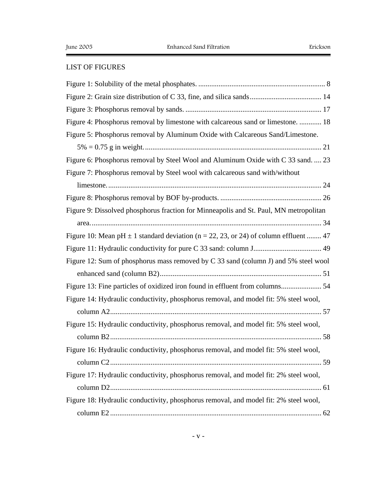## LIST OF FIGURES

| Figure 4: Phosphorus removal by limestone with calcareous sand or limestone.  18         |
|------------------------------------------------------------------------------------------|
| Figure 5: Phosphorus removal by Aluminum Oxide with Calcareous Sand/Limestone.           |
|                                                                                          |
| Figure 6: Phosphorus removal by Steel Wool and Aluminum Oxide with C 33 sand.  23        |
| Figure 7: Phosphorus removal by Steel wool with calcareous sand with/without             |
|                                                                                          |
|                                                                                          |
| Figure 9: Dissolved phosphorus fraction for Minneapolis and St. Paul, MN metropolitan    |
|                                                                                          |
| Figure 10: Mean pH $\pm$ 1 standard deviation (n = 22, 23, or 24) of column effluent  47 |
|                                                                                          |
| Figure 12: Sum of phosphorus mass removed by C 33 sand (column J) and 5% steel wool      |
|                                                                                          |
| Figure 13: Fine particles of oxidized iron found in effluent from columns 54             |
| Figure 14: Hydraulic conductivity, phosphorus removal, and model fit: 5% steel wool,     |
|                                                                                          |
| Figure 15: Hydraulic conductivity, phosphorus removal, and model fit: 5% steel wool,     |
|                                                                                          |
| Figure 16: Hydraulic conductivity, phosphorus removal, and model fit: 5% steel wool,     |
|                                                                                          |
| Figure 17: Hydraulic conductivity, phosphorus removal, and model fit: 2% steel wool,     |
|                                                                                          |
| Figure 18: Hydraulic conductivity, phosphorus removal, and model fit: 2% steel wool,     |
|                                                                                          |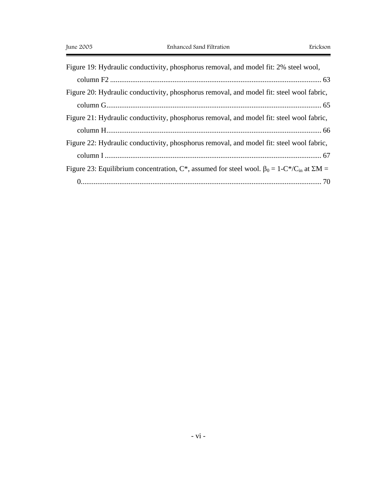| Figure 19: Hydraulic conductivity, phosphorus removal, and model fit: 2% steel wool,                                |
|---------------------------------------------------------------------------------------------------------------------|
|                                                                                                                     |
| Figure 20: Hydraulic conductivity, phosphorus removal, and model fit: steel wool fabric,                            |
|                                                                                                                     |
| Figure 21: Hydraulic conductivity, phosphorus removal, and model fit: steel wool fabric,                            |
|                                                                                                                     |
| Figure 22: Hydraulic conductivity, phosphorus removal, and model fit: steel wool fabric,                            |
|                                                                                                                     |
| Figure 23: Equilibrium concentration, C*, assumed for steel wool. $\beta_0 = 1 - C^*/C_{\text{in}}$ at $\Sigma M =$ |
|                                                                                                                     |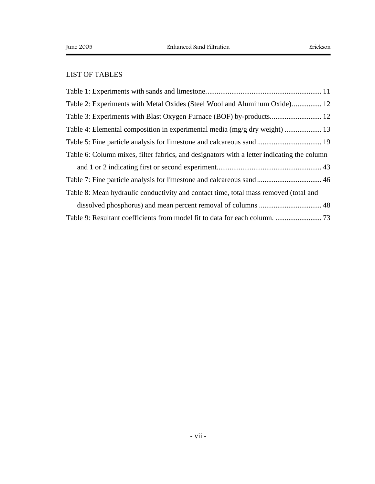# LIST OF TABLES

| Table 2: Experiments with Metal Oxides (Steel Wool and Aluminum Oxide) 12                  |
|--------------------------------------------------------------------------------------------|
|                                                                                            |
| Table 4: Elemental composition in experimental media (mg/g dry weight)  13                 |
|                                                                                            |
| Table 6: Column mixes, filter fabrics, and designators with a letter indicating the column |
|                                                                                            |
| Table 7: Fine particle analysis for limestone and calcareous sand  46                      |
| Table 8: Mean hydraulic conductivity and contact time, total mass removed (total and       |
|                                                                                            |
|                                                                                            |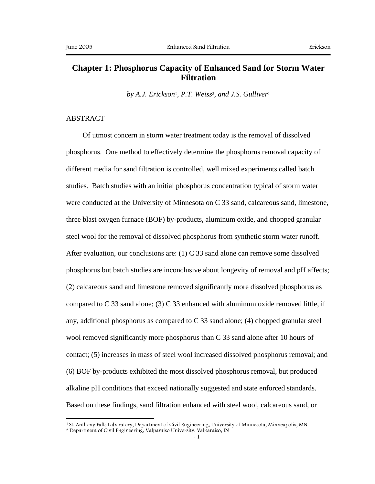# **Chapter 1: Phosphorus Capacity of Enhanced Sand for Storm Water Filtration**

*by A.J. Erickson*1*, P.T. Weiss*2*, and J.S. Gulliver*<sup>1</sup>

### ABSTRACT

 $\overline{a}$ 

Of utmost concern in storm water treatment today is the removal of dissolved phosphorus. One method to effectively determine the phosphorus removal capacity of different media for sand filtration is controlled, well mixed experiments called batch studies. Batch studies with an initial phosphorus concentration typical of storm water were conducted at the University of Minnesota on C 33 sand, calcareous sand, limestone, three blast oxygen furnace (BOF) by-products, aluminum oxide, and chopped granular steel wool for the removal of dissolved phosphorus from synthetic storm water runoff. After evaluation, our conclusions are:  $(1)$  C 33 sand alone can remove some dissolved phosphorus but batch studies are inconclusive about longevity of removal and pH affects; (2) calcareous sand and limestone removed significantly more dissolved phosphorus as compared to C 33 sand alone; (3) C 33 enhanced with aluminum oxide removed little, if any, additional phosphorus as compared to  $C$  33 sand alone; (4) chopped granular steel wool removed significantly more phosphorus than C 33 sand alone after 10 hours of contact; (5) increases in mass of steel wool increased dissolved phosphorus removal; and (6) BOF by-products exhibited the most dissolved phosphorus removal, but produced alkaline pH conditions that exceed nationally suggested and state enforced standards. Based on these findings, sand filtration enhanced with steel wool, calcareous sand, or

<sup>1</sup> St. Anthony Falls Laboratory, Department of Civil Engineering, University of Minnesota, Minneapolis, MN 2 Department of Civil Engineering, Valparaiso University, Valparaiso, IN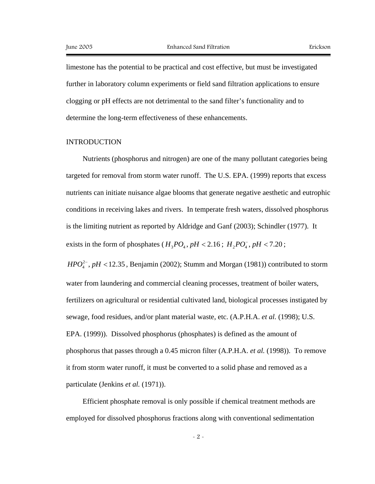limestone has the potential to be practical and cost effective, but must be investigated further in laboratory column experiments or field sand filtration applications to ensure clogging or pH effects are not detrimental to the sand filter's functionality and to determine the long-term effectiveness of these enhancements.

#### INTRODUCTION

Nutrients (phosphorus and nitrogen) are one of the many pollutant categories being targeted for removal from storm water runoff. The U.S. EPA. (1999) reports that excess nutrients can initiate nuisance algae blooms that generate negative aesthetic and eutrophic conditions in receiving lakes and rivers. In temperate fresh waters, dissolved phosphorus is the limiting nutrient as reported by Aldridge and Ganf (2003); Schindler (1977). It exists in the form of phosphates ( $H_3PO_4$ ,  $pH < 2.16$ ;  $H_2PO_4$ ,  $pH < 7.20$ ;

 $HPO<sub>4</sub><sup>2</sup>$ ,  $pH < 12.35$ , Benjamin (2002); Stumm and Morgan (1981)) contributed to storm water from laundering and commercial cleaning processes, treatment of boiler waters, fertilizers on agricultural or residential cultivated land, biological processes instigated by sewage, food residues, and/or plant material waste, etc. (A.P.H.A. *et al.* (1998); U.S. EPA. (1999)). Dissolved phosphorus (phosphates) is defined as the amount of phosphorus that passes through a 0.45 micron filter (A.P.H.A. *et al.* (1998)). To remove it from storm water runoff, it must be converted to a solid phase and removed as a particulate (Jenkins *et al.* (1971)).

Efficient phosphate removal is only possible if chemical treatment methods are employed for dissolved phosphorus fractions along with conventional sedimentation

- 2 -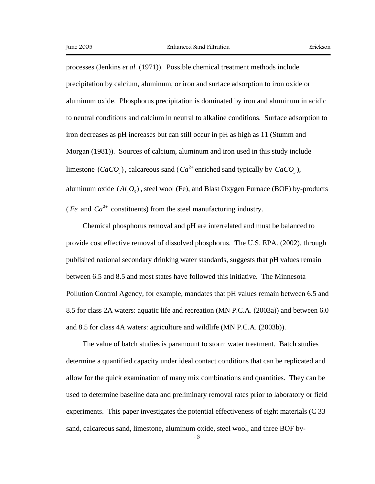processes (Jenkins *et al.* (1971)). Possible chemical treatment methods include precipitation by calcium, aluminum, or iron and surface adsorption to iron oxide or aluminum oxide. Phosphorus precipitation is dominated by iron and aluminum in acidic to neutral conditions and calcium in neutral to alkaline conditions. Surface adsorption to iron decreases as pH increases but can still occur in pH as high as 11 (Stumm and Morgan (1981)). Sources of calcium, aluminum and iron used in this study include limestone  $(CaCO<sub>2</sub>)$ , calcareous sand  $(Ca<sup>2+</sup>$  enriched sand typically by  $CaCO<sub>2</sub>$ ), aluminum oxide  $(A_l, O_3)$ , steel wool (Fe), and Blast Oxygen Furnace (BOF) by-products (*Fe* and  $Ca^{2+}$  constituents) from the steel manufacturing industry.

Chemical phosphorus removal and pH are interrelated and must be balanced to provide cost effective removal of dissolved phosphorus. The U.S. EPA. (2002), through published national secondary drinking water standards, suggests that pH values remain between 6.5 and 8.5 and most states have followed this initiative. The Minnesota Pollution Control Agency, for example, mandates that pH values remain between 6.5 and 8.5 for class 2A waters: aquatic life and recreation (MN P.C.A. (2003a)) and between 6.0 and 8.5 for class 4A waters: agriculture and wildlife (MN P.C.A. (2003b)).

The value of batch studies is paramount to storm water treatment. Batch studies determine a quantified capacity under ideal contact conditions that can be replicated and allow for the quick examination of many mix combinations and quantities. They can be used to determine baseline data and preliminary removal rates prior to laboratory or field experiments. This paper investigates the potential effectiveness of eight materials (C 33 sand, calcareous sand, limestone, aluminum oxide, steel wool, and three BOF by-

- 3 -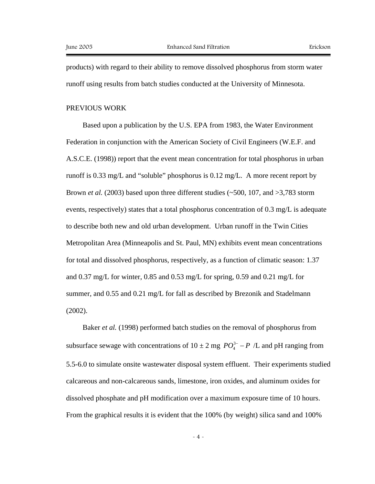products) with regard to their ability to remove dissolved phosphorus from storm water runoff using results from batch studies conducted at the University of Minnesota.

#### PREVIOUS WORK

Based upon a publication by the U.S. EPA from 1983, the Water Environment Federation in conjunction with the American Society of Civil Engineers (W.E.F. and A.S.C.E. (1998)) report that the event mean concentration for total phosphorus in urban runoff is 0.33 mg/L and "soluble" phosphorus is 0.12 mg/L. A more recent report by Brown *et al.* (2003) based upon three different studies (~500, 107, and >3,783 storm events, respectively) states that a total phosphorus concentration of 0.3 mg/L is adequate to describe both new and old urban development. Urban runoff in the Twin Cities Metropolitan Area (Minneapolis and St. Paul, MN) exhibits event mean concentrations for total and dissolved phosphorus, respectively, as a function of climatic season: 1.37 and 0.37 mg/L for winter, 0.85 and 0.53 mg/L for spring, 0.59 and 0.21 mg/L for summer, and 0.55 and 0.21 mg/L for fall as described by Brezonik and Stadelmann (2002).

Baker *et al.* (1998) performed batch studies on the removal of phosphorus from subsurface sewage with concentrations of  $10 \pm 2$  mg  $PO_4^{3-} - P$  /L and pH ranging from 5.5-6.0 to simulate onsite wastewater disposal system effluent. Their experiments studied calcareous and non-calcareous sands, limestone, iron oxides, and aluminum oxides for dissolved phosphate and pH modification over a maximum exposure time of 10 hours. From the graphical results it is evident that the 100% (by weight) silica sand and 100%

- 4 -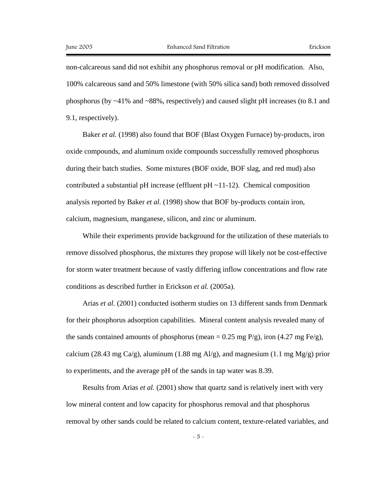non-calcareous sand did not exhibit any phosphorus removal or pH modification. Also, 100% calcareous sand and 50% limestone (with 50% silica sand) both removed dissolved phosphorus (by ~41% and ~88%, respectively) and caused slight pH increases (to 8.1 and 9.1, respectively).

Baker *et al.* (1998) also found that BOF (Blast Oxygen Furnace) by-products, iron oxide compounds, and aluminum oxide compounds successfully removed phosphorus during their batch studies. Some mixtures (BOF oxide, BOF slag, and red mud) also contributed a substantial pH increase (effluent pH $\sim$ 11-12). Chemical composition analysis reported by Baker *et al.* (1998) show that BOF by-products contain iron, calcium, magnesium, manganese, silicon, and zinc or aluminum.

While their experiments provide background for the utilization of these materials to remove dissolved phosphorus, the mixtures they propose will likely not be cost-effective for storm water treatment because of vastly differing inflow concentrations and flow rate conditions as described further in Erickson *et al.* (2005a).

Arias *et al.* (2001) conducted isotherm studies on 13 different sands from Denmark for their phosphorus adsorption capabilities. Mineral content analysis revealed many of the sands contained amounts of phosphorus (mean = 0.25 mg P/g), iron (4.27 mg Fe/g), calcium (28.43 mg Ca/g), aluminum (1.88 mg Al/g), and magnesium (1.1 mg Mg/g) prior to experiments, and the average pH of the sands in tap water was 8.39.

Results from Arias *et al.* (2001) show that quartz sand is relatively inert with very low mineral content and low capacity for phosphorus removal and that phosphorus removal by other sands could be related to calcium content, texture-related variables, and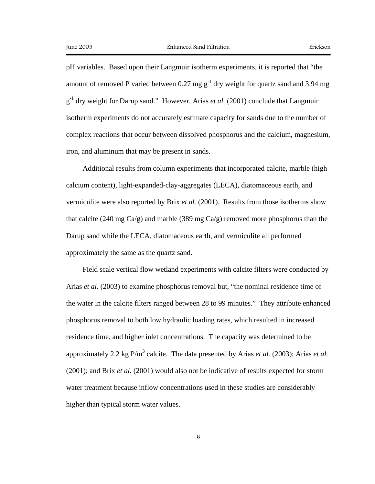pH variables. Based upon their Langmuir isotherm experiments, it is reported that "the amount of removed P varied between 0.27 mg  $g^{-1}$  dry weight for quartz sand and 3.94 mg  $g^{-1}$  dry weight for Darup sand." However, Arias *et al.* (2001) conclude that Langmuir isotherm experiments do not accurately estimate capacity for sands due to the number of complex reactions that occur between dissolved phosphorus and the calcium, magnesium, iron, and aluminum that may be present in sands.

Additional results from column experiments that incorporated calcite, marble (high calcium content), light-expanded-clay-aggregates (LECA), diatomaceous earth, and vermiculite were also reported by Brix *et al.* (2001). Results from those isotherms show that calcite (240 mg  $Ca/g$ ) and marble (389 mg  $Ca/g$ ) removed more phosphorus than the Darup sand while the LECA, diatomaceous earth, and vermiculite all performed approximately the same as the quartz sand.

Field scale vertical flow wetland experiments with calcite filters were conducted by Arias *et al.* (2003) to examine phosphorus removal but, "the nominal residence time of the water in the calcite filters ranged between 28 to 99 minutes." They attribute enhanced phosphorus removal to both low hydraulic loading rates, which resulted in increased residence time, and higher inlet concentrations. The capacity was determined to be approximately 2.2 kg  $P/m^3$  calcite. The data presented by Arias *et al.* (2003); Arias *et al.* (2001); and Brix *et al.* (2001) would also not be indicative of results expected for storm water treatment because inflow concentrations used in these studies are considerably higher than typical storm water values.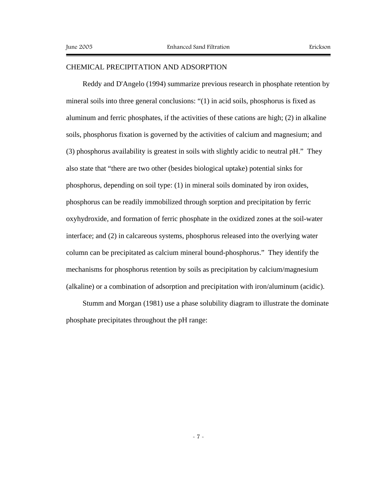### CHEMICAL PRECIPITATION AND ADSORPTION

Reddy and D'Angelo (1994) summarize previous research in phosphate retention by mineral soils into three general conclusions: "(1) in acid soils, phosphorus is fixed as aluminum and ferric phosphates, if the activities of these cations are high; (2) in alkaline soils, phosphorus fixation is governed by the activities of calcium and magnesium; and (3) phosphorus availability is greatest in soils with slightly acidic to neutral pH." They also state that "there are two other (besides biological uptake) potential sinks for phosphorus, depending on soil type: (1) in mineral soils dominated by iron oxides, phosphorus can be readily immobilized through sorption and precipitation by ferric oxyhydroxide, and formation of ferric phosphate in the oxidized zones at the soil-water interface; and (2) in calcareous systems, phosphorus released into the overlying water column can be precipitated as calcium mineral bound-phosphorus." They identify the mechanisms for phosphorus retention by soils as precipitation by calcium/magnesium (alkaline) or a combination of adsorption and precipitation with iron/aluminum (acidic).

Stumm and Morgan (1981) use a phase solubility diagram to illustrate the dominate phosphate precipitates throughout the pH range: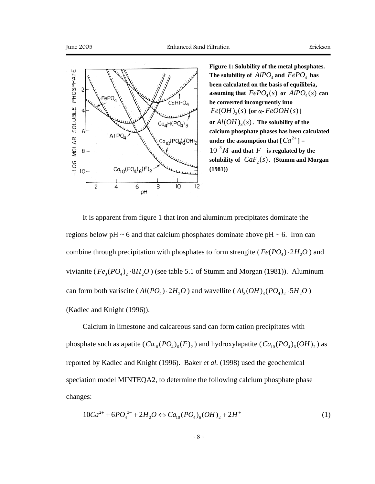

**Figure 1: Solubility of the metal phosphates.**  The solubility of  $AIPO<sub>4</sub>$  and  $FePO<sub>4</sub>$  has **been calculated on the basis of equilibria, assuming that**  $FePO<sub>4</sub>(s)$  or  $AlPO<sub>4</sub>(s)$  can **be converted incongruently into**   $Fe(OH)_{3}(s)$  [or  $\alpha$ - $FeOOH(s)$ ] or  $Al(OH)_{3}(s)$ . The solubility of the **calcium phosphate phases has been calculated under the assumption that**  $\left[ Ca^{2+} \right] =$  $10^{-3}$ *M* and that  $F^-$  is regulated by the solubility of  $CaF_2(s)$ . (Stumm and Morgan **(1981))** 

It is apparent from figure 1 that iron and aluminum precipitates dominate the regions below pH  $\sim$  6 and that calcium phosphates dominate above pH  $\sim$  6. Iron can combine through precipitation with phosphates to form strengite ( $Fe(PO<sub>A</sub>) \cdot 2H<sub>2</sub>O$ ) and vivianite ( $Fe<sub>3</sub>(PO<sub>4</sub>)<sub>2</sub>·8H<sub>2</sub>O$ ) (see table 5.1 of Stumm and Morgan (1981)). Aluminum can form both variscite ( $Al(PO_4) \cdot 2H_2O$ ) and wavellite ( $Al_3(OH)_3(PO_4)_2 \cdot 5H_2O$ ) (Kadlec and Knight (1996)).

Calcium in limestone and calcareous sand can form cation precipitates with phosphate such as apatite  $(Ca_{10} (PO_4)_6 (F)_2)$  and hydroxylapatite  $(Ca_{10} (PO_4)_6 (OH)_2)$  as reported by Kadlec and Knight (1996). Baker *et al.* (1998) used the geochemical speciation model MINTEQA2, to determine the following calcium phosphate phase changes:

$$
10Ca^{2+} + 6PO_4^{3-} + 2H_2O \Leftrightarrow Ca_{10}(PO_4)_6(OH)_2 + 2H^+ \tag{1}
$$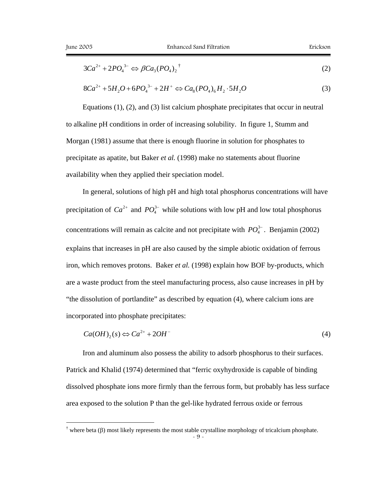<u>.</u>

$$
3Ca^{2+} + 2PO_4^{3-} \Leftrightarrow \beta Ca_3(PO_4)_2^{\dagger} \tag{2}
$$

$$
8Ca^{2+} + 5H_2O + 6PO_4^{3-} + 2H^+ \Leftrightarrow Ca_8(PO_4)_6H_2 \cdot 5H_2O \tag{3}
$$

Equations (1), (2), and (3) list calcium phosphate precipitates that occur in neutral to alkaline pH conditions in order of increasing solubility. In figure 1, Stumm and Morgan (1981) assume that there is enough fluorine in solution for phosphates to precipitate as apatite, but Baker *et al.* (1998) make no statements about fluorine availability when they applied their speciation model.

In general, solutions of high pH and high total phosphorus concentrations will have precipitation of  $Ca^{2+}$  and  $PO_4^{3-}$  while solutions with low pH and low total phosphorus concentrations will remain as calcite and not precipitate with  $PO_4^{3-}$ . Benjamin (2002) explains that increases in pH are also caused by the simple abiotic oxidation of ferrous iron, which removes protons. Baker *et al.* (1998) explain how BOF by-products, which are a waste product from the steel manufacturing process, also cause increases in pH by "the dissolution of portlandite" as described by equation (4), where calcium ions are incorporated into phosphate precipitates:

$$
Ca(OH)_2(s) \Leftrightarrow Ca^{2+} + 2OH^-
$$
 (4)

Iron and aluminum also possess the ability to adsorb phosphorus to their surfaces. Patrick and Khalid (1974) determined that "ferric oxyhydroxide is capable of binding dissolved phosphate ions more firmly than the ferrous form, but probably has less surface area exposed to the solution P than the gel-like hydrated ferrous oxide or ferrous

<sup>- 9 -</sup>  <sup>†</sup> where beta (β) most likely represents the most stable crystalline morphology of tricalcium phosphate.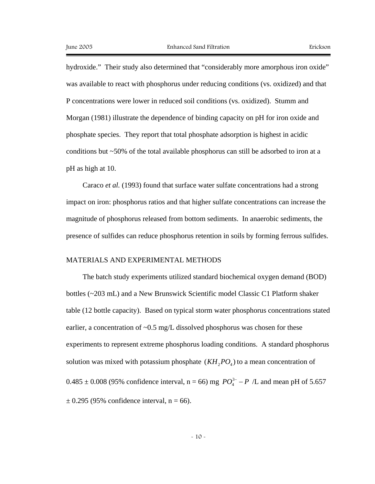hydroxide." Their study also determined that "considerably more amorphous iron oxide" was available to react with phosphorus under reducing conditions (vs. oxidized) and that P concentrations were lower in reduced soil conditions (vs. oxidized). Stumm and Morgan (1981) illustrate the dependence of binding capacity on pH for iron oxide and phosphate species. They report that total phosphate adsorption is highest in acidic conditions but ~50% of the total available phosphorus can still be adsorbed to iron at a pH as high at 10.

Caraco *et al.* (1993) found that surface water sulfate concentrations had a strong impact on iron: phosphorus ratios and that higher sulfate concentrations can increase the magnitude of phosphorus released from bottom sediments. In anaerobic sediments, the presence of sulfides can reduce phosphorus retention in soils by forming ferrous sulfides.

#### MATERIALS AND EXPERIMENTAL METHODS

The batch study experiments utilized standard biochemical oxygen demand (BOD) bottles (~203 mL) and a New Brunswick Scientific model Classic C1 Platform shaker table (12 bottle capacity). Based on typical storm water phosphorus concentrations stated earlier, a concentration of  $\sim 0.5$  mg/L dissolved phosphorus was chosen for these experiments to represent extreme phosphorus loading conditions. A standard phosphorus solution was mixed with potassium phosphate  $(KH_2 PO_4)$  to a mean concentration of  $0.485 \pm 0.008$  (95% confidence interval, n = 66) mg  $PO_4^{3-} - P$  /L and mean pH of 5.657  $\pm$  0.295 (95% confidence interval, n = 66).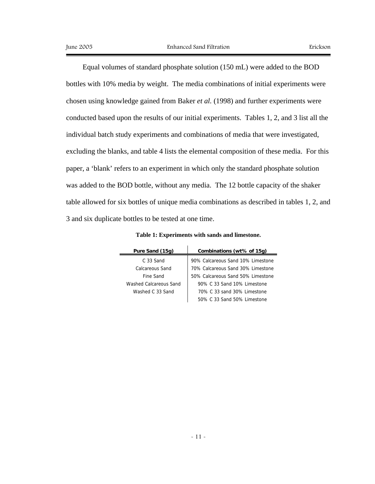Equal volumes of standard phosphate solution (150 mL) were added to the BOD bottles with 10% media by weight. The media combinations of initial experiments were chosen using knowledge gained from Baker *et al.* (1998) and further experiments were conducted based upon the results of our initial experiments. Tables 1, 2, and 3 list all the individual batch study experiments and combinations of media that were investigated, excluding the blanks, and table 4 lists the elemental composition of these media. For this paper, a 'blank' refers to an experiment in which only the standard phosphate solution was added to the BOD bottle, without any media. The 12 bottle capacity of the shaker table allowed for six bottles of unique media combinations as described in tables 1, 2, and 3 and six duplicate bottles to be tested at one time.

| Pure Sand (15g)        | Combinations (wt% of 15g)         |
|------------------------|-----------------------------------|
| $C.33$ Sand            | 90% Calcareous Sand 10% Limestone |
| Calcareous Sand        | 70% Calcareous Sand 30% Limestone |
| Fine Sand              | 50% Calcareous Sand 50% Limestone |
| Washed Calcareous Sand | 90% C 33 Sand 10% Limestone       |
| Washed C 33 Sand       | 70% C 33 sand 30% Limestone       |
|                        | 50% C 33 Sand 50% Limestone       |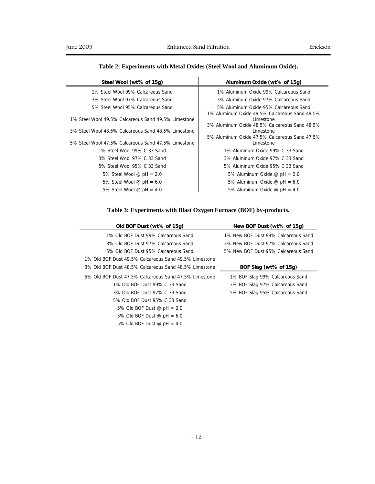### **Table 2: Experiments with Metal Oxides (Steel Wool and Aluminum Oxide).**

| Steel Wool (wt% of 15g)                             | Aluminum Oxide (wt% of 15g)                                                            |  |  |  |
|-----------------------------------------------------|----------------------------------------------------------------------------------------|--|--|--|
| 1% Steel Wool 99% Calcareous Sand                   | 1% Aluminum Oxide 99% Calcareous Sand                                                  |  |  |  |
| 3% Steel Wool 97% Calcareous Sand                   | 3% Aluminum Oxide 97% Calcareous Sand                                                  |  |  |  |
| 5% Steel Wool 95% Calcareous Sand                   | 5% Aluminum Oxide 95% Calcareous Sand<br>1% Aluminum Oxide 49.5% Calcareous Sand 49.5% |  |  |  |
| 1% Steel Wool 49.5% Calcareous Sand 49.5% Limestone | Limestone<br>3% Aluminum Oxide 48.5% Calcareous Sand 48.5%                             |  |  |  |
| 3% Steel Wool 48.5% Calcareous Sand 48.5% Limestone | Limestone<br>5% Aluminum Oxide 47.5% Calcareous Sand 47.5%                             |  |  |  |
| 5% Steel Wool 47.5% Calcareous Sand 47.5% Limestone | Limestone                                                                              |  |  |  |
| 1% Steel Wool 99% C 33 Sand                         | 1% Aluminum Oxide 99% C 33 Sand                                                        |  |  |  |
| 3% Steel Wool 97% C 33 Sand                         | 3% Aluminum Oxide 97% C 33 Sand                                                        |  |  |  |
| 5% Steel Wool 95% C 33 Sand                         | 5% Aluminum Oxide 95% C 33 Sand                                                        |  |  |  |
| 5% Steel Wool @ $pH = 2.0$                          | 5% Aluminum Oxide @ $pH = 2.0$                                                         |  |  |  |
| 5% Steel Wool @ $pH = 6.0$                          | 5% Aluminum Oxide @ $pH = 6.0$                                                         |  |  |  |
| 5% Steel Wool @ $pH = 4.0$                          | 5% Aluminum Oxide $\textcircled{e}$ pH = 4.0                                           |  |  |  |

### **Table 3: Experiments with Blast Oxygen Furnace (BOF) by-products.**

| Old BOF Dust (wt% of 15g)                             | New BOF Dust (wt% of 15g)           |
|-------------------------------------------------------|-------------------------------------|
| 1% Old BOF Dust 99% Calcareous Sand                   | 1% New BOF Dust 99% Calcareous Sand |
| 3% Old BOF Dust 97% Calcareous Sand                   | 3% New BOF Dust 97% Calcareous Sand |
| 5% Old BOF Dust 95% Calcareous Sand                   | 5% New BOF Dust 95% Calcareous Sand |
| 1% Old BOF Dust 49.5% Calcareous Sand 49.5% Limestone |                                     |
| 3% Old BOF Dust 48.5% Calcareous Sand 48.5% Limestone | BOF Slag (wt% of 15g)               |
| 5% Old BOF Dust 47.5% Calcareous Sand 47.5% Limestone | 1% BOF Slag 99% Calcareous Sand     |
| 1% Old BOF Dust 99% C 33 Sand                         | 3% BOF Slag 97% Calcareous Sand     |
| 3% Old BOF Dust 97% C 33 Sand                         | 5% BOF Slag 95% Calcareous Sand     |
| 5% Old BOF Dust 95% C 33 Sand                         |                                     |
| 5% Old BOF Dust @ $pH = 2.0$                          |                                     |
| 5% Old BOF Dust @ $pH = 6.0$                          |                                     |
| 5% Old BOF Dust @ $pH = 4.0$                          |                                     |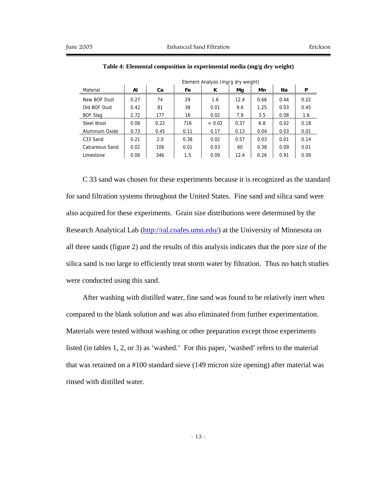|                 |      | Element Analysis (mg/g ary weight) |      |              |      |      |      |      |
|-----------------|------|------------------------------------|------|--------------|------|------|------|------|
| Material        | Al   | Сa                                 | Fe   | ĸ            | Mg   | Mn   | Na   | P    |
| New BOF Dust    | 0.27 | 74                                 | 29   | 1.6          | 12.4 | 0.66 | 0.44 | 0.22 |
| Old BOF Dust    | 0.42 | 81                                 | 38   | 0.01         | 9.6  | 1.25 | 0.03 | 0.45 |
| <b>BOF Slag</b> | 2.72 | 177                                | 16   | 0.02         | 7.9  | 3.5  | 0.08 | 1.6  |
| Steel Wool      | 0.06 | 0.22                               | 716  | ${}_{<}0.02$ | 0.37 | 6.8  | 0.02 | 0.18 |
| Aluminum Oxide  | 0.73 | 0.45                               | 0.11 | 0.17         | 0.13 | 0.04 | 0.03 | 0.01 |
| C33 Sand        | 0.21 | 2.0                                | 0.38 | 0.02         | 0.57 | 0.03 | 0.01 | 0.14 |
| Calcareous Sand | 0.02 | 106                                | 0.01 | 0.03         | 60   | 0.38 | 0.09 | 0.01 |
| Limestone       | 0.06 | 346                                | 1.5  | 0.09         | 12.4 | 0.26 | 0.91 | 0.09 |

**Table 4: Elemental composition in experimental media (mg/g dry weight)** 

Element Analysis (mg/g dry weight)

C 33 sand was chosen for these experiments because it is recognized as the standard for sand filtration systems throughout the United States. Fine sand and silica sand were also acquired for these experiments. Grain size distributions were determined by the Research Analytical Lab (http://ral.coafes.umn.edu/) at the University of Minnesota on all three sands (figure 2) and the results of this analysis indicates that the pore size of the silica sand is too large to efficiently treat storm water by filtration. Thus no batch studies were conducted using this sand.

After washing with distilled water, fine sand was found to be relatively inert when compared to the blank solution and was also eliminated from further experimentation. Materials were tested without washing or other preparation except those experiments listed (in tables 1, 2, or 3) as 'washed.' For this paper, 'washed' refers to the material that was retained on a #100 standard sieve (149 micron size opening) after material was rinsed with distilled water.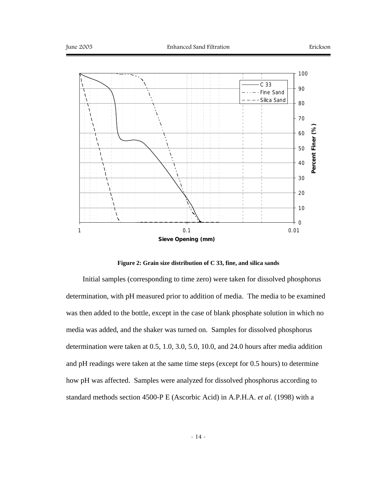

**Figure 2: Grain size distribution of C 33, fine, and silica sands** 

Initial samples (corresponding to time zero) were taken for dissolved phosphorus determination, with pH measured prior to addition of media. The media to be examined was then added to the bottle, except in the case of blank phosphate solution in which no media was added, and the shaker was turned on. Samples for dissolved phosphorus determination were taken at 0.5, 1.0, 3.0, 5.0, 10.0, and 24.0 hours after media addition and pH readings were taken at the same time steps (except for 0.5 hours) to determine how pH was affected. Samples were analyzed for dissolved phosphorus according to standard methods section 4500-P E (Ascorbic Acid) in A.P.H.A. *et al.* (1998) with a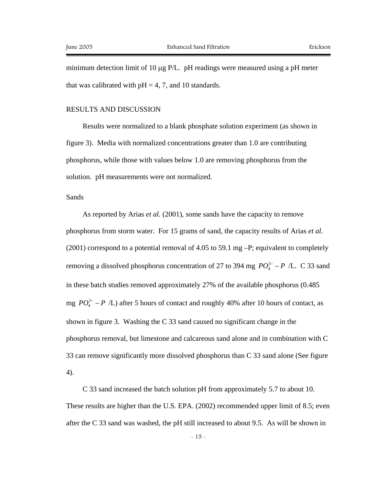minimum detection limit of 10 µg P/L. pH readings were measured using a pH meter that was calibrated with  $pH = 4, 7$ , and 10 standards.

### RESULTS AND DISCUSSION

Results were normalized to a blank phosphate solution experiment (as shown in figure 3). Media with normalized concentrations greater than 1.0 are contributing phosphorus, while those with values below 1.0 are removing phosphorus from the solution. pH measurements were not normalized.

### Sands

As reported by Arias *et al.* (2001), some sands have the capacity to remove phosphorus from storm water. For 15 grams of sand, the capacity results of Arias *et al.*  $(2001)$  correspond to a potential removal of 4.05 to 59.1 mg  $-P$ ; equivalent to completely removing a dissolved phosphorus concentration of 27 to 394 mg  $PO_4^{3-} - P$  /L. C 33 sand in these batch studies removed approximately 27% of the available phosphorus (0.485 mg  $PO_4^{3-} - P$  /L) after 5 hours of contact and roughly 40% after 10 hours of contact, as shown in figure 3. Washing the C 33 sand caused no significant change in the phosphorus removal, but limestone and calcareous sand alone and in combination with C 33 can remove significantly more dissolved phosphorus than C 33 sand alone (See figure 4).

C 33 sand increased the batch solution pH from approximately 5.7 to about 10. These results are higher than the U.S. EPA. (2002) recommended upper limit of 8.5; even after the C 33 sand was washed, the pH still increased to about 9.5. As will be shown in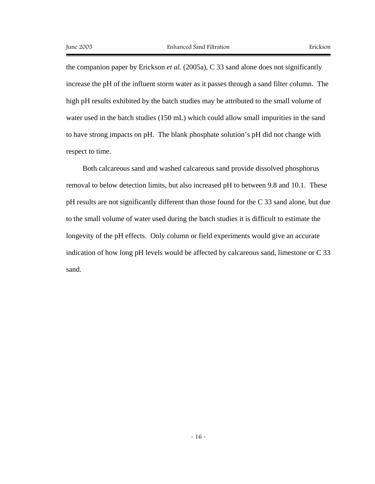the companion paper by Erickson *et al.* (2005a), C 33 sand alone does not significantly increase the pH of the influent storm water as it passes through a sand filter column. The high pH results exhibited by the batch studies may be attributed to the small volume of water used in the batch studies (150 mL) which could allow small impurities in the sand to have strong impacts on pH. The blank phosphate solution's pH did not change with respect to time.

Both calcareous sand and washed calcareous sand provide dissolved phosphorus removal to below detection limits, but also increased pH to between 9.8 and 10.1. These pH results are not significantly different than those found for the C 33 sand alone, but due to the small volume of water used during the batch studies it is difficult to estimate the longevity of the pH effects. Only column or field experiments would give an accurate indication of how long pH levels would be affected by calcareous sand, limestone or C 33 sand.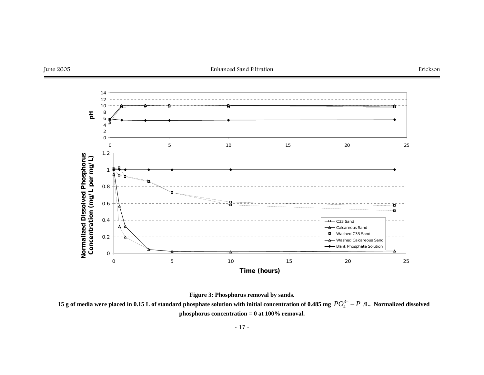

**Figure 3: Phosphorus removal by sands.** 

**15 g of media were placed in 0.15 L of standard phosphate solution with initial concentration of 0.485 mg**  $PO_4^{3-} - P$  **/L. Normalized dissolved phosphorus concentration = 0 at 100% removal.**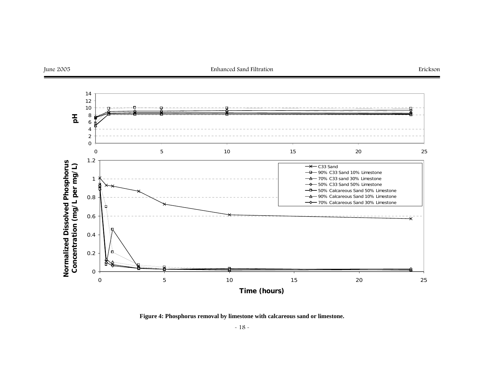

**Figure 4: Phosphorus removal by limestone with calcareous sand or limestone.**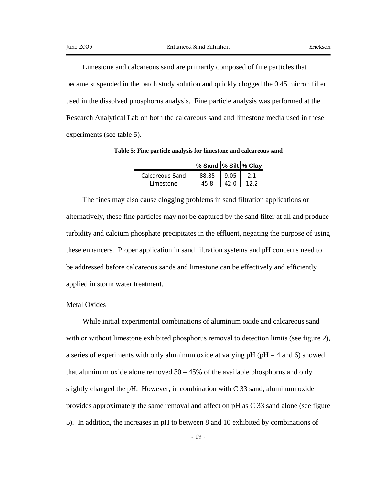Limestone and calcareous sand are primarily composed of fine particles that became suspended in the batch study solution and quickly clogged the 0.45 micron filter used in the dissolved phosphorus analysis. Fine particle analysis was performed at the Research Analytical Lab on both the calcareous sand and limestone media used in these experiments (see table 5).

**Table 5: Fine particle analysis for limestone and calcareous sand** 

|                        | % Sand  % Silt  % Clay |       |  |
|------------------------|------------------------|-------|--|
| <b>Calcareous Sand</b> | 88.85                  | 19.05 |  |
| Limestone              | 45.8                   | 42.0  |  |

The fines may also cause clogging problems in sand filtration applications or alternatively, these fine particles may not be captured by the sand filter at all and produce turbidity and calcium phosphate precipitates in the effluent, negating the purpose of using these enhancers. Proper application in sand filtration systems and pH concerns need to be addressed before calcareous sands and limestone can be effectively and efficiently applied in storm water treatment.

#### Metal Oxides

While initial experimental combinations of aluminum oxide and calcareous sand with or without limestone exhibited phosphorus removal to detection limits (see figure 2), a series of experiments with only aluminum oxide at varying  $pH$  ( $pH = 4$  and 6) showed that aluminum oxide alone removed  $30 - 45%$  of the available phosphorus and only slightly changed the pH. However, in combination with C 33 sand, aluminum oxide provides approximately the same removal and affect on pH as C 33 sand alone (see figure 5). In addition, the increases in pH to between 8 and 10 exhibited by combinations of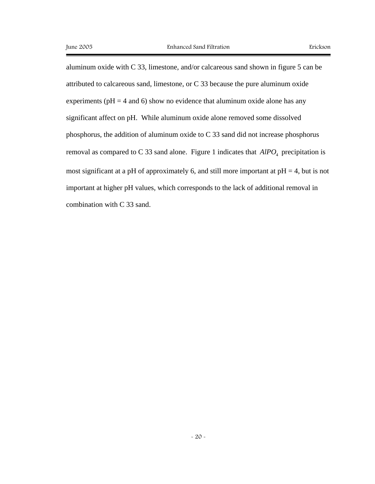aluminum oxide with C 33, limestone, and/or calcareous sand shown in figure 5 can be attributed to calcareous sand, limestone, or C 33 because the pure aluminum oxide experiments ( $pH = 4$  and 6) show no evidence that aluminum oxide alone has any significant affect on pH. While aluminum oxide alone removed some dissolved phosphorus, the addition of aluminum oxide to C 33 sand did not increase phosphorus removal as compared to C 33 sand alone. Figure 1 indicates that  $AIPO<sub>4</sub>$  precipitation is most significant at a pH of approximately 6, and still more important at  $pH = 4$ , but is not important at higher pH values, which corresponds to the lack of additional removal in combination with C 33 sand.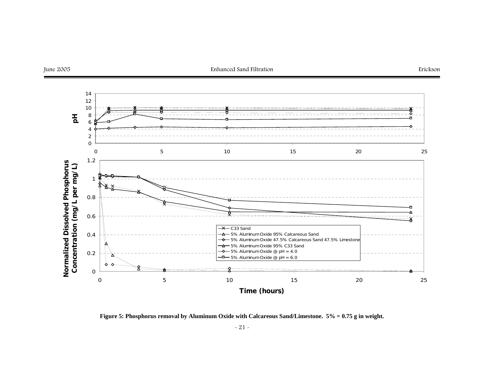

**Figure 5: Phosphorus removal by Aluminum Oxide with Calcareous Sand/Limestone. 5% = 0.75 g in weight.**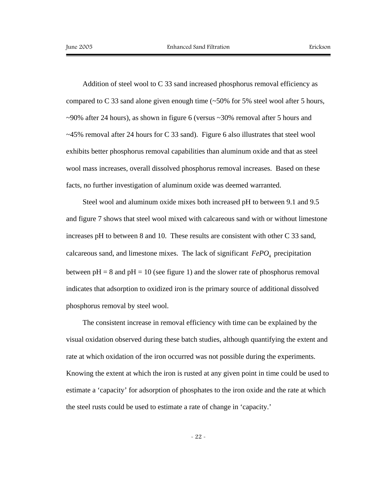Addition of steel wool to C 33 sand increased phosphorus removal efficiency as compared to C 33 sand alone given enough time  $(-50\%$  for 5% steel wool after 5 hours,  $\sim$ 90% after 24 hours), as shown in figure 6 (versus  $\sim$ 30% removal after 5 hours and  $\sim$ 45% removal after 24 hours for C 33 sand). Figure 6 also illustrates that steel wool exhibits better phosphorus removal capabilities than aluminum oxide and that as steel wool mass increases, overall dissolved phosphorus removal increases. Based on these facts, no further investigation of aluminum oxide was deemed warranted.

Steel wool and aluminum oxide mixes both increased pH to between 9.1 and 9.5 and figure 7 shows that steel wool mixed with calcareous sand with or without limestone increases pH to between 8 and 10. These results are consistent with other C 33 sand, calcareous sand, and limestone mixes. The lack of significant  $FePO<sub>4</sub>$  precipitation between  $pH = 8$  and  $pH = 10$  (see figure 1) and the slower rate of phosphorus removal indicates that adsorption to oxidized iron is the primary source of additional dissolved phosphorus removal by steel wool.

The consistent increase in removal efficiency with time can be explained by the visual oxidation observed during these batch studies, although quantifying the extent and rate at which oxidation of the iron occurred was not possible during the experiments. Knowing the extent at which the iron is rusted at any given point in time could be used to estimate a 'capacity' for adsorption of phosphates to the iron oxide and the rate at which the steel rusts could be used to estimate a rate of change in 'capacity.'

- 22 -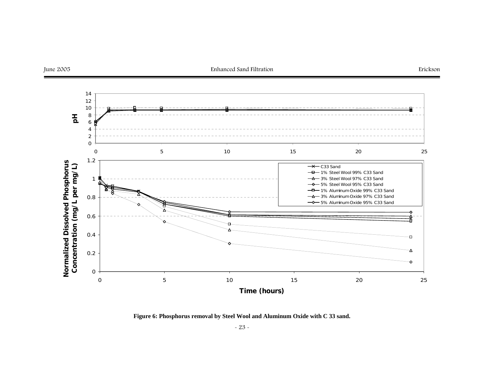

**Figure 6: Phosphorus removal by Steel Wool and Aluminum Oxide with C 33 sand.**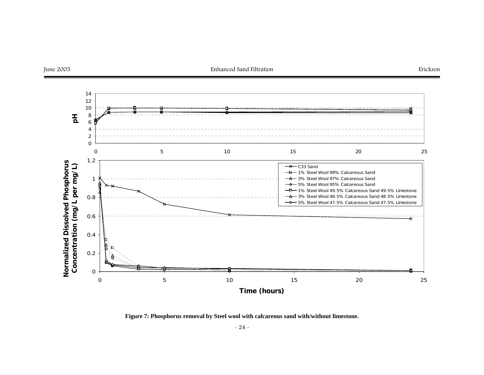

**Figure 7: Phosphorus removal by Steel wool with calcareous sand with/without limestone.**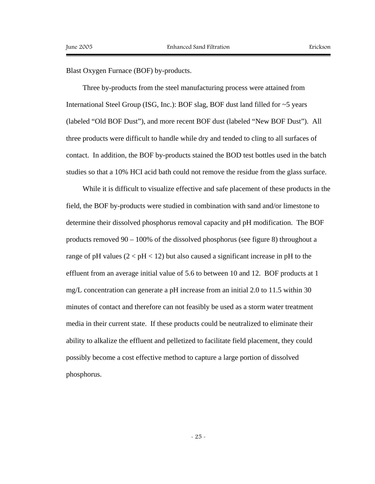Blast Oxygen Furnace (BOF) by-products.

Three by-products from the steel manufacturing process were attained from International Steel Group (ISG, Inc.): BOF slag, BOF dust land filled for ~5 years (labeled "Old BOF Dust"), and more recent BOF dust (labeled "New BOF Dust"). All three products were difficult to handle while dry and tended to cling to all surfaces of contact. In addition, the BOF by-products stained the BOD test bottles used in the batch studies so that a 10% HCI acid bath could not remove the residue from the glass surface.

While it is difficult to visualize effective and safe placement of these products in the field, the BOF by-products were studied in combination with sand and/or limestone to determine their dissolved phosphorus removal capacity and pH modification. The BOF products removed 90 – 100% of the dissolved phosphorus (see figure 8) throughout a range of pH values  $(2 < pH < 12)$  but also caused a significant increase in pH to the effluent from an average initial value of 5.6 to between 10 and 12. BOF products at 1 mg/L concentration can generate a pH increase from an initial 2.0 to 11.5 within 30 minutes of contact and therefore can not feasibly be used as a storm water treatment media in their current state. If these products could be neutralized to eliminate their ability to alkalize the effluent and pelletized to facilitate field placement, they could possibly become a cost effective method to capture a large portion of dissolved phosphorus.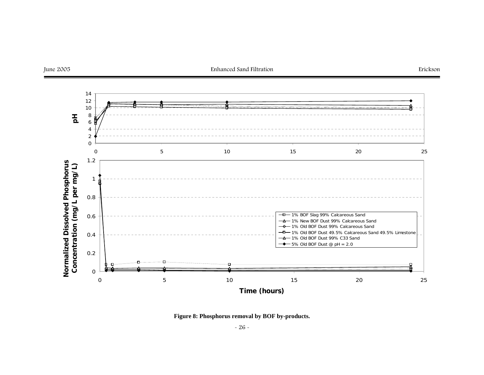

**Figure 8: Phosphorus removal by BOF by-products.**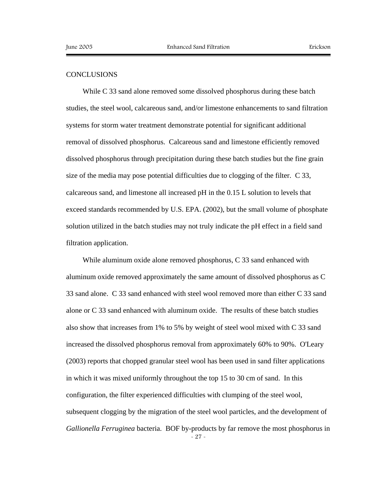### **CONCLUSIONS**

While C 33 sand alone removed some dissolved phosphorus during these batch studies, the steel wool, calcareous sand, and/or limestone enhancements to sand filtration systems for storm water treatment demonstrate potential for significant additional removal of dissolved phosphorus. Calcareous sand and limestone efficiently removed dissolved phosphorus through precipitation during these batch studies but the fine grain size of the media may pose potential difficulties due to clogging of the filter. C 33, calcareous sand, and limestone all increased pH in the 0.15 L solution to levels that exceed standards recommended by U.S. EPA. (2002), but the small volume of phosphate solution utilized in the batch studies may not truly indicate the pH effect in a field sand filtration application.

- 27 - While aluminum oxide alone removed phosphorus, C 33 sand enhanced with aluminum oxide removed approximately the same amount of dissolved phosphorus as C 33 sand alone. C 33 sand enhanced with steel wool removed more than either C 33 sand alone or C 33 sand enhanced with aluminum oxide. The results of these batch studies also show that increases from 1% to 5% by weight of steel wool mixed with C 33 sand increased the dissolved phosphorus removal from approximately 60% to 90%. O'Leary (2003) reports that chopped granular steel wool has been used in sand filter applications in which it was mixed uniformly throughout the top 15 to 30 cm of sand. In this configuration, the filter experienced difficulties with clumping of the steel wool, subsequent clogging by the migration of the steel wool particles, and the development of *Gallionella Ferruginea* bacteria. BOF by-products by far remove the most phosphorus in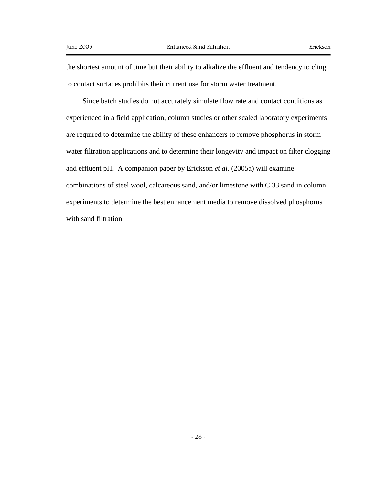the shortest amount of time but their ability to alkalize the effluent and tendency to cling to contact surfaces prohibits their current use for storm water treatment.

Since batch studies do not accurately simulate flow rate and contact conditions as experienced in a field application, column studies or other scaled laboratory experiments are required to determine the ability of these enhancers to remove phosphorus in storm water filtration applications and to determine their longevity and impact on filter clogging and effluent pH. A companion paper by Erickson *et al.* (2005a) will examine combinations of steel wool, calcareous sand, and/or limestone with C 33 sand in column experiments to determine the best enhancement media to remove dissolved phosphorus with sand filtration.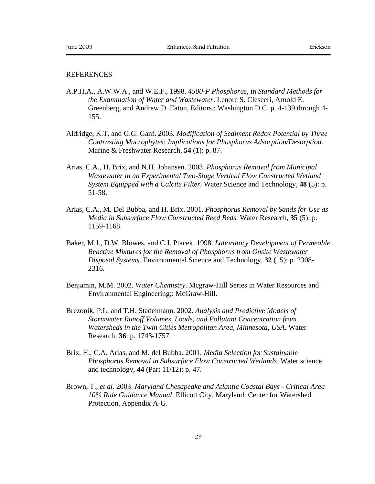# **REFERENCES**

- A.P.H.A., A.W.W.A., and W.E.F., 1998. *4500-P Phosphorus*, in *Standard Methods for the Examination of Water and Wastewater*. Lenore S. Clesceri, Arnold E. Greenberg, and Andrew D. Eaton, Editors.: Washington D.C. p. 4-139 through 4- 155.
- Aldridge, K.T. and G.G. Ganf. 2003. *Modification of Sediment Redox Potential by Three Contrasting Macrophytes: Implications for Phosphorus Adsorption/Desorption.* Marine & Freshwater Research, **54** (1): p. 87.
- Arias, C.A., H. Brix, and N.H. Johansen. 2003. *Phosphorus Removal from Municipal Wastewater in an Experimental Two-Stage Vertical Flow Constructed Wetland System Equipped with a Calcite Filter.* Water Science and Technology, **48** (5): p. 51-58.
- Arias, C.A., M. Del Bubba, and H. Brix. 2001. *Phosphorus Removal by Sands for Use as Media in Subsurface Flow Constructed Reed Beds.* Water Research, **35** (5): p. 1159-1168.
- Baker, M.J., D.W. Blowes, and C.J. Ptacek. 1998. *Laboratory Development of Permeable Reactive Mixtures for the Removal of Phosphorus from Onsite Wastewater Disposal Systems.* Environmental Science and Technology, **32** (15): p. 2308- 2316.
- Benjamin, M.M. 2002. *Water Chemistry*. Mcgraw-Hill Series in Water Resources and Environmental Engineering;: McGraw-Hill.
- Brezonik, P.L. and T.H. Stadelmann. 2002. *Analysis and Predictive Models of Stormwater Runoff Volumes, Loads, and Pollutant Concentration from Watersheds in the Twin Cities Metropolitan Area, Minnesota, USA.* Water Research, **36**: p. 1743-1757.
- Brix, H., C.A. Arias, and M. del Bubba. 2001. *Media Selection for Sustainable Phosphorus Removal in Subsurface Flow Constructed Wetlands.* Water science and technology, **44** (Part 11/12): p. 47.
- Brown, T.*, et al.* 2003. *Maryland Chesapeake and Atlantic Coastal Bays Critical Area 10% Rule Guidance Manual*. Ellicott City, Maryland: Center for Watershed Protection. Appendix A-G.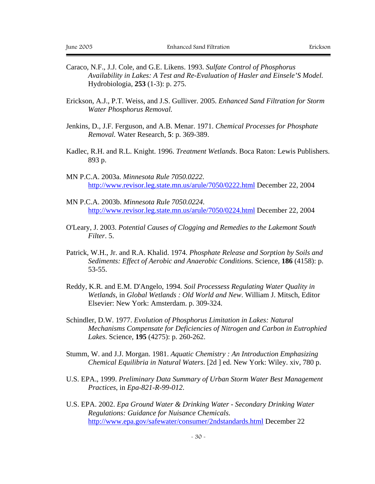- Caraco, N.F., J.J. Cole, and G.E. Likens. 1993. *Sulfate Control of Phosphorus Availability in Lakes: A Test and Re-Evaluation of Hasler and Einsele'S Model.* Hydrobiologia, **253** (1-3): p. 275.
- Erickson, A.J., P.T. Weiss, and J.S. Gulliver. 2005. *Enhanced Sand Filtration for Storm Water Phosphorus Removal.*
- Jenkins, D., J.F. Ferguson, and A.B. Menar. 1971. *Chemical Processes for Phosphate Removal.* Water Research, **5**: p. 369-389.
- Kadlec, R.H. and R.L. Knight. 1996. *Treatment Wetlands*. Boca Raton: Lewis Publishers. 893 p.
- MN P.C.A. 2003a. *Minnesota Rule 7050.0222*. http://www.revisor.leg.state.mn.us/arule/7050/0222.html December 22, 2004
- MN P.C.A. 2003b. *Minnesota Rule 7050.0224*. http://www.revisor.leg.state.mn.us/arule/7050/0224.html December 22, 2004
- O'Leary, J. 2003. *Potential Causes of Clogging and Remedies to the Lakemont South Filter*. 5.
- Patrick, W.H., Jr. and R.A. Khalid. 1974. *Phosphate Release and Sorption by Soils and Sediments: Effect of Aerobic and Anaerobic Conditions.* Science, **186** (4158): p. 53-55.
- Reddy, K.R. and E.M. D'Angelo, 1994. *Soil Processess Regulating Water Quality in Wetlands*, in *Global Wetlands : Old World and New*. William J. Mitsch, Editor Elsevier: New York: Amsterdam. p. 309-324.
- Schindler, D.W. 1977. *Evolution of Phosphorus Limitation in Lakes: Natural Mechanisms Compensate for Deficiencies of Nitrogen and Carbon in Eutrophied Lakes.* Science, **195** (4275): p. 260-262.
- Stumm, W. and J.J. Morgan. 1981. *Aquatic Chemistry : An Introduction Emphasizing Chemical Equilibria in Natural Waters*. [2d ] ed. New York: Wiley. xiv, 780 p.
- U.S. EPA., 1999. *Preliminary Data Summary of Urban Storm Water Best Management Practices*, in *Epa-821-R-99-012*.
- U.S. EPA. 2002. *Epa Ground Water & Drinking Water Secondary Drinking Water Regulations: Guidance for Nuisance Chemicals*. http://www.epa.gov/safewater/consumer/2ndstandards.html December 22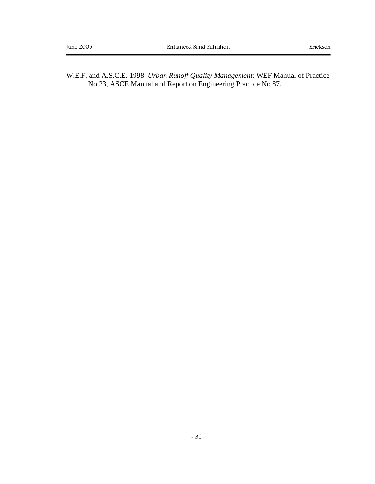W.E.F. and A.S.C.E. 1998. *Urban Runoff Quality Management*: WEF Manual of Practice No 23, ASCE Manual and Report on Engineering Practice No 87.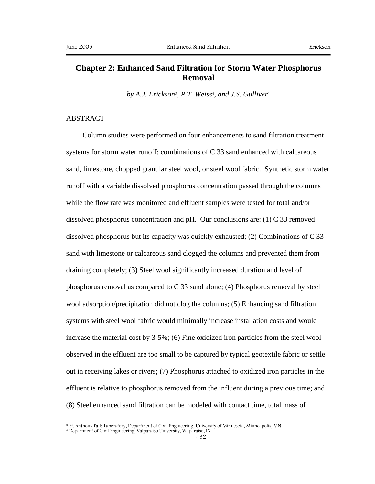# **Chapter 2: Enhanced Sand Filtration for Storm Water Phosphorus Removal**

*by A.J. Erickson*3*, P.T. Weiss*4*, and J.S. Gulliver*<sup>1</sup>

# ABSTRACT

 $\overline{a}$ 

Column studies were performed on four enhancements to sand filtration treatment systems for storm water runoff: combinations of C 33 sand enhanced with calcareous sand, limestone, chopped granular steel wool, or steel wool fabric. Synthetic storm water runoff with a variable dissolved phosphorus concentration passed through the columns while the flow rate was monitored and effluent samples were tested for total and/or dissolved phosphorus concentration and pH. Our conclusions are:  $(1)$  C 33 removed dissolved phosphorus but its capacity was quickly exhausted; (2) Combinations of C 33 sand with limestone or calcareous sand clogged the columns and prevented them from draining completely; (3) Steel wool significantly increased duration and level of phosphorus removal as compared to C 33 sand alone; (4) Phosphorus removal by steel wool adsorption/precipitation did not clog the columns; (5) Enhancing sand filtration systems with steel wool fabric would minimally increase installation costs and would increase the material cost by 3-5%; (6) Fine oxidized iron particles from the steel wool observed in the effluent are too small to be captured by typical geotextile fabric or settle out in receiving lakes or rivers; (7) Phosphorus attached to oxidized iron particles in the effluent is relative to phosphorus removed from the influent during a previous time; and (8) Steel enhanced sand filtration can be modeled with contact time, total mass of

<sup>3</sup> St. Anthony Falls Laboratory, Department of Civil Engineering, University of Minnesota, Minneapolis, MN

<sup>4</sup> Department of Civil Engineering, Valparaiso University, Valparaiso, IN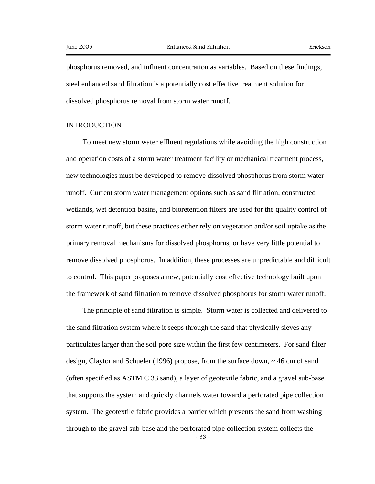phosphorus removed, and influent concentration as variables. Based on these findings, steel enhanced sand filtration is a potentially cost effective treatment solution for dissolved phosphorus removal from storm water runoff.

## INTRODUCTION

To meet new storm water effluent regulations while avoiding the high construction and operation costs of a storm water treatment facility or mechanical treatment process, new technologies must be developed to remove dissolved phosphorus from storm water runoff. Current storm water management options such as sand filtration, constructed wetlands, wet detention basins, and bioretention filters are used for the quality control of storm water runoff, but these practices either rely on vegetation and/or soil uptake as the primary removal mechanisms for dissolved phosphorus, or have very little potential to remove dissolved phosphorus. In addition, these processes are unpredictable and difficult to control. This paper proposes a new, potentially cost effective technology built upon the framework of sand filtration to remove dissolved phosphorus for storm water runoff.

- 33 - The principle of sand filtration is simple. Storm water is collected and delivered to the sand filtration system where it seeps through the sand that physically sieves any particulates larger than the soil pore size within the first few centimeters. For sand filter design, Claytor and Schueler (1996) propose, from the surface down, ~ 46 cm of sand (often specified as ASTM C 33 sand), a layer of geotextile fabric, and a gravel sub-base that supports the system and quickly channels water toward a perforated pipe collection system. The geotextile fabric provides a barrier which prevents the sand from washing through to the gravel sub-base and the perforated pipe collection system collects the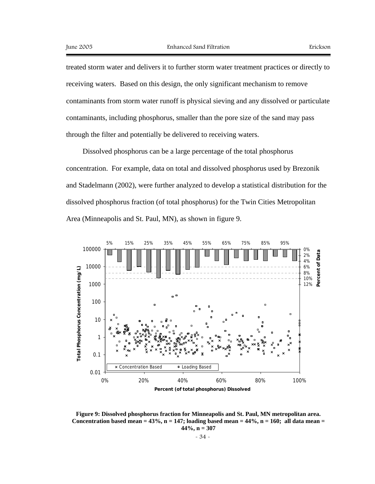treated storm water and delivers it to further storm water treatment practices or directly to receiving waters. Based on this design, the only significant mechanism to remove contaminants from storm water runoff is physical sieving and any dissolved or particulate contaminants, including phosphorus, smaller than the pore size of the sand may pass through the filter and potentially be delivered to receiving waters.

Dissolved phosphorus can be a large percentage of the total phosphorus concentration. For example, data on total and dissolved phosphorus used by Brezonik and Stadelmann (2002), were further analyzed to develop a statistical distribution for the dissolved phosphorus fraction (of total phosphorus) for the Twin Cities Metropolitan Area (Minneapolis and St. Paul, MN), as shown in figure 9.





$$
\sim 34
$$
 -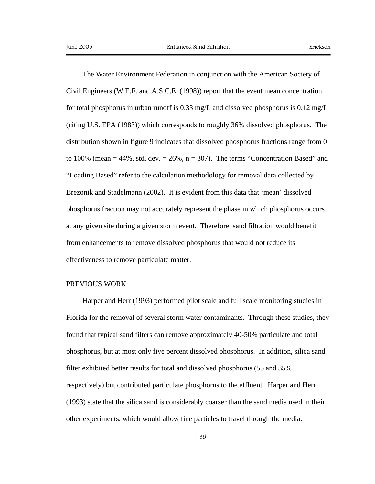The Water Environment Federation in conjunction with the American Society of Civil Engineers (W.E.F. and A.S.C.E. (1998)) report that the event mean concentration for total phosphorus in urban runoff is 0.33 mg/L and dissolved phosphorus is 0.12 mg/L (citing U.S. EPA (1983)) which corresponds to roughly 36% dissolved phosphorus. The distribution shown in figure 9 indicates that dissolved phosphorus fractions range from 0 to 100% (mean  $= 44\%$ , std. dev.  $= 26\%$ , n  $= 307$ ). The terms "Concentration Based" and "Loading Based" refer to the calculation methodology for removal data collected by Brezonik and Stadelmann (2002). It is evident from this data that 'mean' dissolved phosphorus fraction may not accurately represent the phase in which phosphorus occurs at any given site during a given storm event. Therefore, sand filtration would benefit from enhancements to remove dissolved phosphorus that would not reduce its effectiveness to remove particulate matter.

#### PREVIOUS WORK

Harper and Herr (1993) performed pilot scale and full scale monitoring studies in Florida for the removal of several storm water contaminants. Through these studies, they found that typical sand filters can remove approximately 40-50% particulate and total phosphorus, but at most only five percent dissolved phosphorus. In addition, silica sand filter exhibited better results for total and dissolved phosphorus (55 and 35% respectively) but contributed particulate phosphorus to the effluent. Harper and Herr (1993) state that the silica sand is considerably coarser than the sand media used in their other experiments, which would allow fine particles to travel through the media.

- 35 -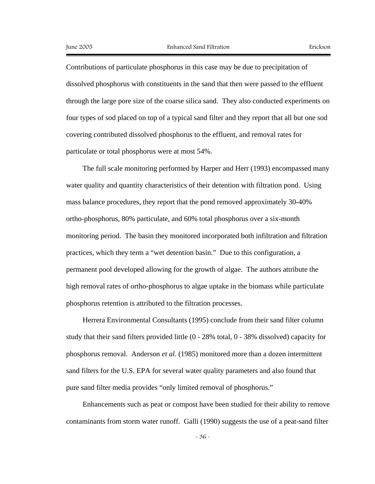Contributions of particulate phosphorus in this case may be due to precipitation of dissolved phosphorus with constituents in the sand that then were passed to the effluent through the large pore size of the coarse silica sand. They also conducted experiments on four types of sod placed on top of a typical sand filter and they report that all but one sod covering contributed dissolved phosphorus to the effluent, and removal rates for particulate or total phosphorus were at most 54%.

The full scale monitoring performed by Harper and Herr (1993) encompassed many water quality and quantity characteristics of their detention with filtration pond. Using mass balance procedures, they report that the pond removed approximately 30-40% ortho-phosphorus, 80% particulate, and 60% total phosphorus over a six-month monitoring period. The basin they monitored incorporated both infiltration and filtration practices, which they term a "wet detention basin." Due to this configuration, a permanent pool developed allowing for the growth of algae. The authors attribute the high removal rates of ortho-phosphorus to algae uptake in the biomass while particulate phosphorus retention is attributed to the filtration processes.

Herrera Environmental Consultants (1995) conclude from their sand filter column study that their sand filters provided little (0 - 28% total, 0 - 38% dissolved) capacity for phosphorus removal. Anderson *et al.* (1985) monitored more than a dozen intermittent sand filters for the U.S. EPA for several water quality parameters and also found that pure sand filter media provides "only limited removal of phosphorus."

Enhancements such as peat or compost have been studied for their ability to remove contaminants from storm water runoff. Galli (1990) suggests the use of a peat-sand filter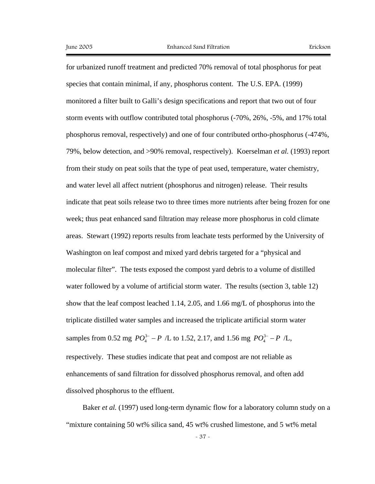for urbanized runoff treatment and predicted 70% removal of total phosphorus for peat species that contain minimal, if any, phosphorus content. The U.S. EPA. (1999) monitored a filter built to Galli's design specifications and report that two out of four storm events with outflow contributed total phosphorus (-70%, 26%, -5%, and 17% total phosphorus removal, respectively) and one of four contributed ortho-phosphorus (-474%, 79%, below detection, and >90% removal, respectively). Koerselman *et al.* (1993) report from their study on peat soils that the type of peat used, temperature, water chemistry, and water level all affect nutrient (phosphorus and nitrogen) release. Their results indicate that peat soils release two to three times more nutrients after being frozen for one week; thus peat enhanced sand filtration may release more phosphorus in cold climate areas. Stewart (1992) reports results from leachate tests performed by the University of Washington on leaf compost and mixed yard debris targeted for a "physical and molecular filter". The tests exposed the compost yard debris to a volume of distilled water followed by a volume of artificial storm water. The results (section 3, table 12) show that the leaf compost leached 1.14, 2.05, and 1.66 mg/L of phosphorus into the triplicate distilled water samples and increased the triplicate artificial storm water samples from 0.52 mg  $PO_4^{3-} - P$  /L to 1.52, 2.17, and 1.56 mg  $PO_4^{3-} - P$  /L, respectively. These studies indicate that peat and compost are not reliable as enhancements of sand filtration for dissolved phosphorus removal, and often add dissolved phosphorus to the effluent.

Baker *et al.* (1997) used long-term dynamic flow for a laboratory column study on a "mixture containing 50 wt% silica sand, 45 wt% crushed limestone, and 5 wt% metal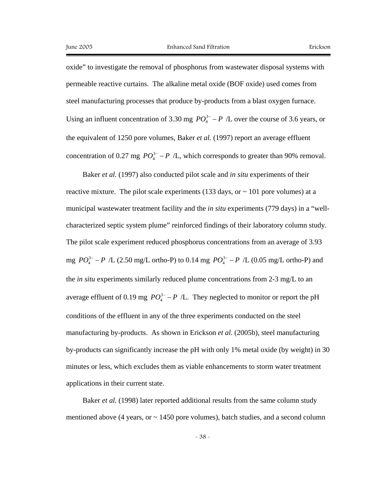oxide" to investigate the removal of phosphorus from wastewater disposal systems with permeable reactive curtains. The alkaline metal oxide (BOF oxide) used comes from steel manufacturing processes that produce by-products from a blast oxygen furnace. Using an influent concentration of 3.30 mg  $PO_4^{3-} - P$  /L over the course of 3.6 years, or the equivalent of 1250 pore volumes, Baker *et al.* (1997) report an average effluent concentration of 0.27 mg  $PO_4^{3-} - P$  /L, which corresponds to greater than 90% removal.

Baker *et al.* (1997) also conducted pilot scale and *in situ* experiments of their reactive mixture. The pilot scale experiments (133 days, or  $\sim$  101 pore volumes) at a municipal wastewater treatment facility and the *in situ* experiments (779 days) in a "wellcharacterized septic system plume" reinforced findings of their laboratory column study. The pilot scale experiment reduced phosphorus concentrations from an average of 3.93 mg  $PO_4^{3-} - P$  /L (2.50 mg/L ortho-P) to 0.14 mg  $PO_4^{3-} - P$  /L (0.05 mg/L ortho-P) and the *in situ* experiments similarly reduced plume concentrations from 2-3 mg/L to an average effluent of 0.19 mg  $PO_4^{3-} - P$  /L. They neglected to monitor or report the pH conditions of the effluent in any of the three experiments conducted on the steel manufacturing by-products. As shown in Erickson *et al.* (2005b), steel manufacturing by-products can significantly increase the pH with only 1% metal oxide (by weight) in 30 minutes or less, which excludes them as viable enhancements to storm water treatment applications in their current state.

Baker *et al.* (1998) later reported additional results from the same column study mentioned above (4 years, or  $\sim$  1450 pore volumes), batch studies, and a second column

- 38 -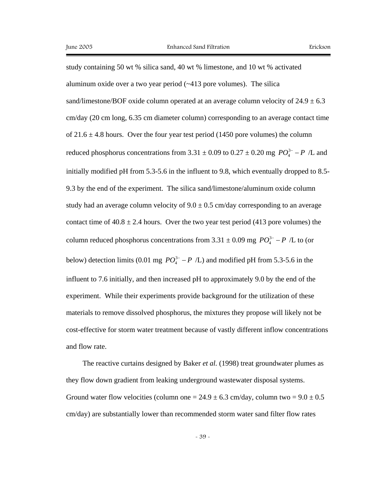study containing 50 wt % silica sand, 40 wt % limestone, and 10 wt % activated aluminum oxide over a two year period  $(\sim 413$  pore volumes). The silica sand/limestone/BOF oxide column operated at an average column velocity of  $24.9 \pm 6.3$ cm/day (20 cm long, 6.35 cm diameter column) corresponding to an average contact time of  $21.6 \pm 4.8$  hours. Over the four year test period (1450 pore volumes) the column reduced phosphorus concentrations from  $3.31 \pm 0.09$  to  $0.27 \pm 0.20$  mg  $PO_4^{3-} - P$  /L and initially modified pH from 5.3-5.6 in the influent to 9.8, which eventually dropped to 8.5- 9.3 by the end of the experiment. The silica sand/limestone/aluminum oxide column study had an average column velocity of  $9.0 \pm 0.5$  cm/day corresponding to an average contact time of  $40.8 \pm 2.4$  hours. Over the two year test period (413 pore volumes) the column reduced phosphorus concentrations from  $3.31 \pm 0.09$  mg  $PO_4^{3-} - P$  /L to (or below) detection limits (0.01 mg  $PO_4^{3-} - P$  /L) and modified pH from 5.3-5.6 in the influent to 7.6 initially, and then increased pH to approximately 9.0 by the end of the experiment. While their experiments provide background for the utilization of these materials to remove dissolved phosphorus, the mixtures they propose will likely not be cost-effective for storm water treatment because of vastly different inflow concentrations and flow rate.

The reactive curtains designed by Baker *et al.* (1998) treat groundwater plumes as they flow down gradient from leaking underground wastewater disposal systems. Ground water flow velocities (column one =  $24.9 \pm 6.3$  cm/day, column two =  $9.0 \pm 0.5$ ) cm/day) are substantially lower than recommended storm water sand filter flow rates

- 39 -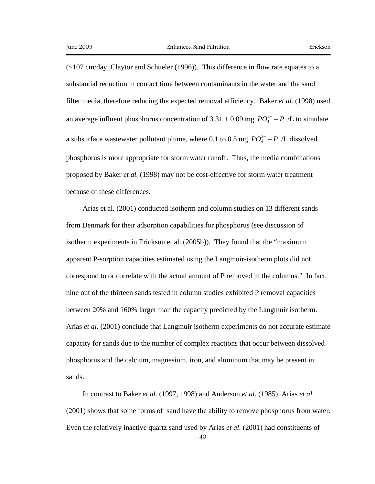(~107 cm/day, Claytor and Schueler (1996)). This difference in flow rate equates to a substantial reduction in contact time between contaminants in the water and the sand filter media, therefore reducing the expected removal efficiency. Baker *et al.* (1998) used an average influent phosphorus concentration of  $3.31 \pm 0.09$  mg  $PO_4^{3-} - P$  /L to simulate a subsurface wastewater pollutant plume, where 0.1 to 0.5 mg  $PO_4^{3-} - P$  /L dissolved phosphorus is more appropriate for storm water runoff. Thus, the media combinations proposed by Baker *et al.* (1998) may not be cost-effective for storm water treatment because of these differences.

Arias et al. (2001) conducted isotherm and column studies on 13 different sands from Denmark for their adsorption capabilities for phosphorus (see discussion of isotherm experiments in Erickson et al. (2005b)). They found that the "maximum apparent P-sorption capacities estimated using the Langmuir-isotherm plots did not correspond to or correlate with the actual amount of P removed in the columns." In fact, nine out of the thirteen sands tested in column studies exhibited P removal capacities between 20% and 160% larger than the capacity predicted by the Langmuir isotherm. Arias *et al.* (2001) conclude that Langmuir isotherm experiments do not accurate estimate capacity for sands due to the number of complex reactions that occur between dissolved phosphorus and the calcium, magnesium, iron, and aluminum that may be present in sands.

- 40 - In contrast to Baker *et al.* (1997, 1998) and Anderson *et al.* (1985), Arias *et al.* (2001) shows that some forms of sand have the ability to remove phosphorus from water. Even the relatively inactive quartz sand used by Arias *et al.* (2001) had constituents of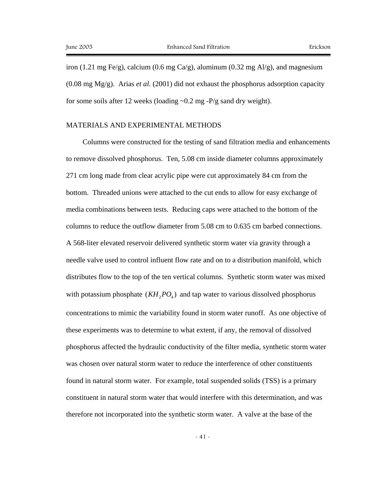iron (1.21 mg Fe/g), calcium (0.6 mg Ca/g), aluminum (0.32 mg Al/g), and magnesium  $(0.08 \text{ mg Mg/g})$ . Arias *et al.* (2001) did not exhaust the phosphorus adsorption capacity for some soils after 12 weeks (loading  $\sim 0.2$  mg -P/g sand dry weight).

## MATERIALS AND EXPERIMENTAL METHODS

Columns were constructed for the testing of sand filtration media and enhancements to remove dissolved phosphorus. Ten, 5.08 cm inside diameter columns approximately 271 cm long made from clear acrylic pipe were cut approximately 84 cm from the bottom. Threaded unions were attached to the cut ends to allow for easy exchange of media combinations between tests. Reducing caps were attached to the bottom of the columns to reduce the outflow diameter from 5.08 cm to 0.635 cm barbed connections. A 568-liter elevated reservoir delivered synthetic storm water via gravity through a needle valve used to control influent flow rate and on to a distribution manifold, which distributes flow to the top of the ten vertical columns. Synthetic storm water was mixed with potassium phosphate  $(KH, PO<sub>4</sub>)$  and tap water to various dissolved phosphorus concentrations to mimic the variability found in storm water runoff. As one objective of these experiments was to determine to what extent, if any, the removal of dissolved phosphorus affected the hydraulic conductivity of the filter media, synthetic storm water was chosen over natural storm water to reduce the interference of other constituents found in natural storm water. For example, total suspended solids (TSS) is a primary constituent in natural storm water that would interfere with this determination, and was therefore not incorporated into the synthetic storm water. A valve at the base of the

 $-41 -$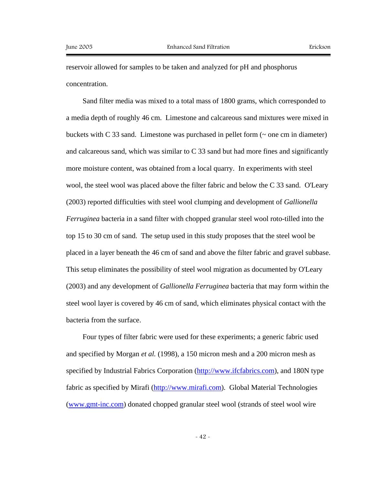reservoir allowed for samples to be taken and analyzed for pH and phosphorus concentration.

Sand filter media was mixed to a total mass of 1800 grams, which corresponded to a media depth of roughly 46 cm. Limestone and calcareous sand mixtures were mixed in buckets with C 33 sand. Limestone was purchased in pellet form  $(\sim$  one cm in diameter) and calcareous sand, which was similar to  $C$  33 sand but had more fines and significantly more moisture content, was obtained from a local quarry. In experiments with steel wool, the steel wool was placed above the filter fabric and below the C 33 sand. O'Leary (2003) reported difficulties with steel wool clumping and development of *Gallionella Ferruginea* bacteria in a sand filter with chopped granular steel wool roto-tilled into the top 15 to 30 cm of sand. The setup used in this study proposes that the steel wool be placed in a layer beneath the 46 cm of sand and above the filter fabric and gravel subbase. This setup eliminates the possibility of steel wool migration as documented by O'Leary (2003) and any development of *Gallionella Ferruginea* bacteria that may form within the steel wool layer is covered by 46 cm of sand, which eliminates physical contact with the bacteria from the surface.

Four types of filter fabric were used for these experiments; a generic fabric used and specified by Morgan *et al.* (1998), a 150 micron mesh and a 200 micron mesh as specified by Industrial Fabrics Corporation (http://www.ifcfabrics.com), and 180N type fabric as specified by Mirafi (http://www.mirafi.com). Global Material Technologies (www.gmt-inc.com) donated chopped granular steel wool (strands of steel wool wire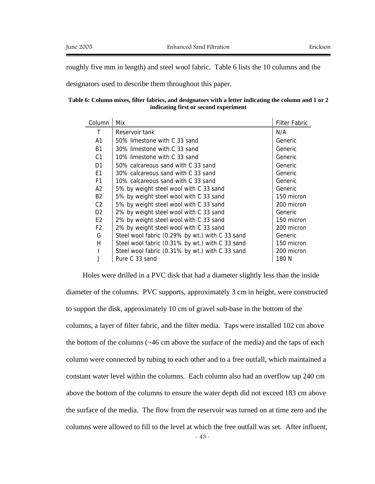roughly five mm in length) and steel wool fabric. Table 6 lists the 10 columns and the

designators used to describe them throughout this paper.

|  |  |  | Table 6: Column mixes, filter fabrics, and designators with a letter indicating the column and 1 or 2 |  |  |  |  |
|--|--|--|-------------------------------------------------------------------------------------------------------|--|--|--|--|
|  |  |  | indicating first or second experiment                                                                 |  |  |  |  |

| Column         | Mix                                             | <b>Filter Fabric</b> |
|----------------|-------------------------------------------------|----------------------|
| Τ              | Reservoir tank                                  | N/A                  |
| A <sub>1</sub> | 50% limestone with C 33 sand                    | Generic              |
| <b>B1</b>      | 30% limestone with C 33 sand                    | Generic              |
| C <sub>1</sub> | 10% limestone with C 33 sand                    | Generic              |
| D <sub>1</sub> | 50% calcareous sand with C 33 sand              | Generic              |
| E1             | 30% calcareous sand with C 33 sand              | Generic              |
| F <sub>1</sub> | 10% calcareous sand with C 33 sand              | Generic              |
| A <sub>2</sub> | 5% by weight steel wool with C 33 sand          | Generic              |
| <b>B2</b>      | 5% by weight steel wool with C 33 sand          | 150 micron           |
| C <sub>2</sub> | 5% by weight steel wool with C 33 sand          | 200 micron           |
| D <sub>2</sub> | 2% by weight steel wool with C 33 sand          | Generic              |
| E <sub>2</sub> | 2% by weight steel wool with C 33 sand          | 150 micron           |
| F <sub>2</sub> | 2% by weight steel wool with C 33 sand          | 200 micron           |
| G              | Steel wool fabric (0.29% by wt.) with C 33 sand | Generic              |
| н              | Steel wool fabric (0.31% by wt.) with C 33 sand | 150 micron           |
|                | Steel wool fabric (0.31% by wt.) with C 33 sand | 200 micron           |
|                | Pure C 33 sand                                  | 180 N                |

Holes were drilled in a PVC disk that had a diameter slightly less than the inside diameter of the columns. PVC supports, approximately 3 cm in height, were constructed to support the disk, approximately 10 cm of gravel sub-base in the bottom of the columns, a layer of filter fabric, and the filter media. Taps were installed 102 cm above the bottom of the columns (~46 cm above the surface of the media) and the taps of each column were connected by tubing to each other and to a free outfall, which maintained a constant water level within the columns. Each column also had an overflow tap 240 cm above the bottom of the columns to ensure the water depth did not exceed 183 cm above the surface of the media. The flow from the reservoir was turned on at time zero and the columns were allowed to fill to the level at which the free outfall was set. After influent,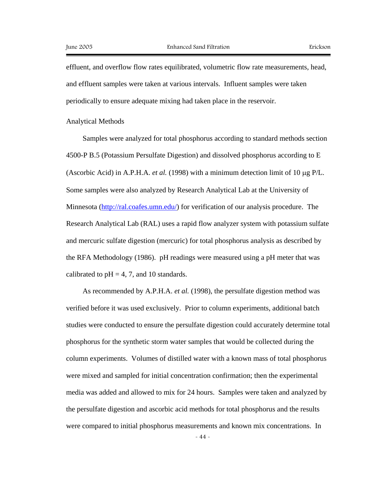effluent, and overflow flow rates equilibrated, volumetric flow rate measurements, head, and effluent samples were taken at various intervals. Influent samples were taken periodically to ensure adequate mixing had taken place in the reservoir.

Analytical Methods

Samples were analyzed for total phosphorus according to standard methods section 4500-P B.5 (Potassium Persulfate Digestion) and dissolved phosphorus according to E (Ascorbic Acid) in A.P.H.A. *et al.* (1998) with a minimum detection limit of 10 µg P/L. Some samples were also analyzed by Research Analytical Lab at the University of Minnesota (http://ral.coafes.umn.edu/) for verification of our analysis procedure. The Research Analytical Lab (RAL) uses a rapid flow analyzer system with potassium sulfate and mercuric sulfate digestion (mercuric) for total phosphorus analysis as described by the RFA Methodology (1986). pH readings were measured using a pH meter that was calibrated to  $pH = 4, 7$ , and 10 standards.

As recommended by A.P.H.A. *et al.* (1998), the persulfate digestion method was verified before it was used exclusively. Prior to column experiments, additional batch studies were conducted to ensure the persulfate digestion could accurately determine total phosphorus for the synthetic storm water samples that would be collected during the column experiments. Volumes of distilled water with a known mass of total phosphorus were mixed and sampled for initial concentration confirmation; then the experimental media was added and allowed to mix for 24 hours. Samples were taken and analyzed by the persulfate digestion and ascorbic acid methods for total phosphorus and the results were compared to initial phosphorus measurements and known mix concentrations. In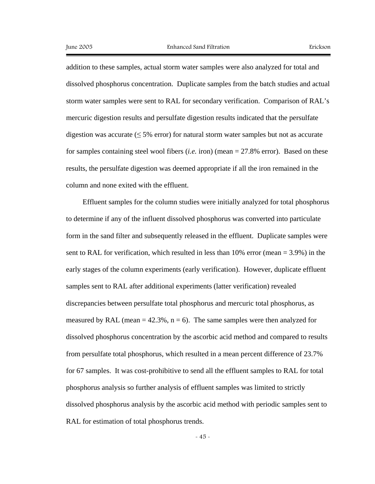addition to these samples, actual storm water samples were also analyzed for total and dissolved phosphorus concentration. Duplicate samples from the batch studies and actual storm water samples were sent to RAL for secondary verification. Comparison of RAL's mercuric digestion results and persulfate digestion results indicated that the persulfate digestion was accurate ( $\leq$  5% error) for natural storm water samples but not as accurate for samples containing steel wool fibers (*i.e.* iron) (mean = 27.8% error). Based on these results, the persulfate digestion was deemed appropriate if all the iron remained in the column and none exited with the effluent.

Effluent samples for the column studies were initially analyzed for total phosphorus to determine if any of the influent dissolved phosphorus was converted into particulate form in the sand filter and subsequently released in the effluent. Duplicate samples were sent to RAL for verification, which resulted in less than  $10\%$  error (mean = 3.9%) in the early stages of the column experiments (early verification). However, duplicate effluent samples sent to RAL after additional experiments (latter verification) revealed discrepancies between persulfate total phosphorus and mercuric total phosphorus, as measured by RAL (mean  $= 42.3\%$ , n = 6). The same samples were then analyzed for dissolved phosphorus concentration by the ascorbic acid method and compared to results from persulfate total phosphorus, which resulted in a mean percent difference of 23.7% for 67 samples. It was cost-prohibitive to send all the effluent samples to RAL for total phosphorus analysis so further analysis of effluent samples was limited to strictly dissolved phosphorus analysis by the ascorbic acid method with periodic samples sent to RAL for estimation of total phosphorus trends.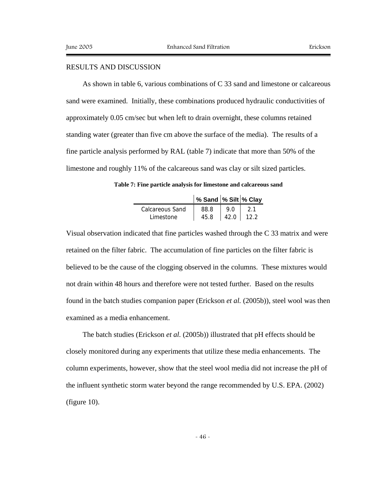# RESULTS AND DISCUSSION

As shown in table 6, various combinations of C 33 sand and limestone or calcareous sand were examined. Initially, these combinations produced hydraulic conductivities of approximately 0.05 cm/sec but when left to drain overnight, these columns retained standing water (greater than five cm above the surface of the media). The results of a fine particle analysis performed by RAL (table 7) indicate that more than 50% of the limestone and roughly 11% of the calcareous sand was clay or silt sized particles.

**Table 7: Fine particle analysis for limestone and calcareous sand** 

|                 | % Sand  % Silt  % Clay |        |      |
|-----------------|------------------------|--------|------|
| Calcareous Sand | 88.8                   | 9.0    |      |
| Limestone       | 45.8                   | 42.0 l | 12.2 |

Visual observation indicated that fine particles washed through the C 33 matrix and were retained on the filter fabric. The accumulation of fine particles on the filter fabric is believed to be the cause of the clogging observed in the columns. These mixtures would not drain within 48 hours and therefore were not tested further. Based on the results found in the batch studies companion paper (Erickson *et al.* (2005b)), steel wool was then examined as a media enhancement.

The batch studies (Erickson *et al.* (2005b)) illustrated that pH effects should be closely monitored during any experiments that utilize these media enhancements. The column experiments, however, show that the steel wool media did not increase the pH of the influent synthetic storm water beyond the range recommended by U.S. EPA. (2002) (figure 10).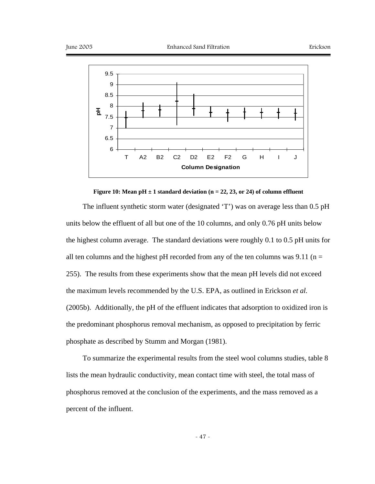



#### **Figure 10: Mean pH**  $\pm$  1 standard deviation (n = 22, 23, or 24) of column effluent

The influent synthetic storm water (designated 'T') was on average less than 0.5 pH units below the effluent of all but one of the 10 columns, and only 0.76 pH units below the highest column average. The standard deviations were roughly 0.1 to 0.5 pH units for all ten columns and the highest pH recorded from any of the ten columns was 9.11 ( $n =$ 255). The results from these experiments show that the mean pH levels did not exceed the maximum levels recommended by the U.S. EPA, as outlined in Erickson *et al.* (2005b). Additionally, the pH of the effluent indicates that adsorption to oxidized iron is the predominant phosphorus removal mechanism, as opposed to precipitation by ferric phosphate as described by Stumm and Morgan (1981).

To summarize the experimental results from the steel wool columns studies, table 8 lists the mean hydraulic conductivity, mean contact time with steel, the total mass of phosphorus removed at the conclusion of the experiments, and the mass removed as a percent of the influent.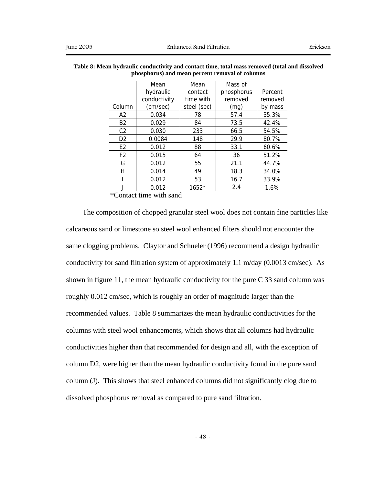|                | Mean         | Mean        | Mass of    |         |
|----------------|--------------|-------------|------------|---------|
|                | hydraulic    | contact     | phosphorus | Percent |
|                | conductivity | time with   | removed    | removed |
| Column         | (cm/sec)     | steel (sec) | (mg)       | by mass |
| А2             | 0.034        | 78          | 57.4       | 35.3%   |
| B <sub>2</sub> | 0.029        | 84          | 73.5       | 42.4%   |
| C <sub>2</sub> | 0.030        | 233         | 66.5       | 54.5%   |
| D <sub>2</sub> | 0.0084       | 148         | 29.9       | 80.7%   |
| E <sub>2</sub> | 0.012        | 88          | 33.1       | 60.6%   |
| F <sub>2</sub> | 0.015        | 64          | 36         | 51.2%   |
| G              | 0.012        | 55          | 21.1       | 44.7%   |
| н              | 0.014        | 49          | 18.3       | 34.0%   |
|                | 0.012        | 53          | 16.7       | 33.9%   |
|                | 0.012        | $1652*$     | 2.4        | 1.6%    |

| Table 8: Mean hydraulic conductivity and contact time, total mass removed (total and dissolved |
|------------------------------------------------------------------------------------------------|
| phosphorus) and mean percent removal of columns                                                |

\*Contact time with sand

The composition of chopped granular steel wool does not contain fine particles like calcareous sand or limestone so steel wool enhanced filters should not encounter the same clogging problems. Claytor and Schueler (1996) recommend a design hydraulic conductivity for sand filtration system of approximately 1.1 m/day (0.0013 cm/sec). As shown in figure 11, the mean hydraulic conductivity for the pure C 33 sand column was roughly 0.012 cm/sec, which is roughly an order of magnitude larger than the recommended values. Table 8 summarizes the mean hydraulic conductivities for the columns with steel wool enhancements, which shows that all columns had hydraulic conductivities higher than that recommended for design and all, with the exception of column D2, were higher than the mean hydraulic conductivity found in the pure sand column (J). This shows that steel enhanced columns did not significantly clog due to dissolved phosphorus removal as compared to pure sand filtration.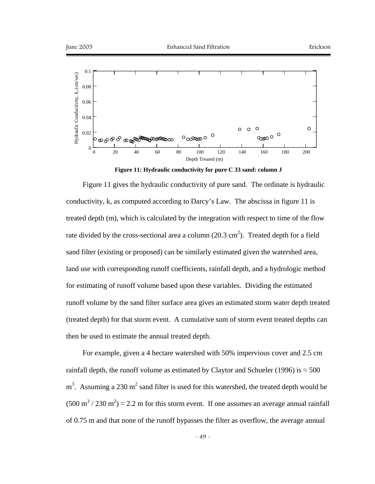

**Figure 11: Hydraulic conductivity for pure C 33 sand: column J** 

Figure 11 gives the hydraulic conductivity of pure sand. The ordinate is hydraulic conductivity, k, as computed according to Darcy's Law. The abscissa in figure 11 is treated depth (m), which is calculated by the integration with respect to time of the flow rate divided by the cross-sectional area a column  $(20.3 \text{ cm}^2)$ . Treated depth for a field sand filter (existing or proposed) can be similarly estimated given the watershed area, land use with corresponding runoff coefficients, rainfall depth, and a hydrologic method for estimating of runoff volume based upon these variables. Dividing the estimated runoff volume by the sand filter surface area gives an estimated storm water depth treated (treated depth) for that storm event. A cumulative sum of storm event treated depths can then be used to estimate the annual treated depth.

For example, given a 4 hectare watershed with 50% impervious cover and 2.5 cm rainfall depth, the runoff volume as estimated by Claytor and Schueler (1996) is  $\approx$  500  $m<sup>3</sup>$ . Assuming a 230 m<sup>2</sup> sand filter is used for this watershed, the treated depth would be  $(500 \text{ m}^3 / 230 \text{ m}^2) \approx 2.2 \text{ m}$  for this storm event. If one assumes an average annual rainfall of 0.75 m and that none of the runoff bypasses the filter as overflow, the average annual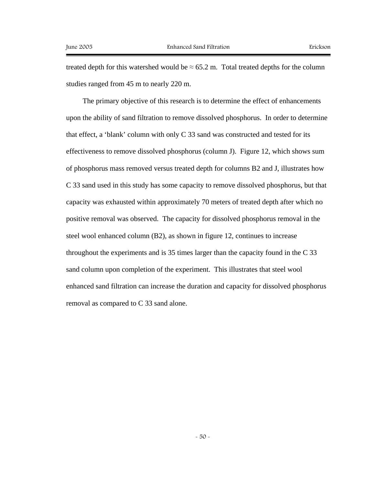treated depth for this watershed would be  $\approx 65.2$  m. Total treated depths for the column studies ranged from 45 m to nearly 220 m.

The primary objective of this research is to determine the effect of enhancements upon the ability of sand filtration to remove dissolved phosphorus. In order to determine that effect, a 'blank' column with only C 33 sand was constructed and tested for its effectiveness to remove dissolved phosphorus (column J). Figure 12, which shows sum of phosphorus mass removed versus treated depth for columns B2 and J, illustrates how C 33 sand used in this study has some capacity to remove dissolved phosphorus, but that capacity was exhausted within approximately 70 meters of treated depth after which no positive removal was observed. The capacity for dissolved phosphorus removal in the steel wool enhanced column (B2), as shown in figure 12, continues to increase throughout the experiments and is 35 times larger than the capacity found in the C 33 sand column upon completion of the experiment. This illustrates that steel wool enhanced sand filtration can increase the duration and capacity for dissolved phosphorus removal as compared to C 33 sand alone.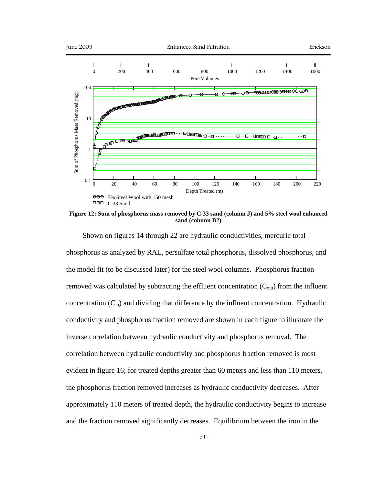

**Figure 12: Sum of phosphorus mass removed by C 33 sand (column J) and 5% steel wool enhanced sand (column B2)** 

Shown on figures 14 through 22 are hydraulic conductivities, mercuric total phosphorus as analyzed by RAL, persulfate total phosphorus, dissolved phosphorus, and the model fit (to be discussed later) for the steel wool columns. Phosphorus fraction removed was calculated by subtracting the effluent concentration  $(C_{out})$  from the influent concentration  $(C_{in})$  and dividing that difference by the influent concentration. Hydraulic conductivity and phosphorus fraction removed are shown in each figure to illustrate the inverse correlation between hydraulic conductivity and phosphorus removal. The correlation between hydraulic conductivity and phosphorus fraction removed is most evident in figure 16; for treated depths greater than 60 meters and less than 110 meters, the phosphorus fraction removed increases as hydraulic conductivity decreases. After approximately 110 meters of treated depth, the hydraulic conductivity begins to increase and the fraction removed significantly decreases. Equilibrium between the iron in the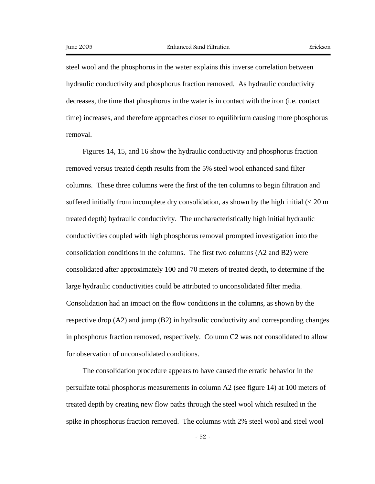steel wool and the phosphorus in the water explains this inverse correlation between hydraulic conductivity and phosphorus fraction removed. As hydraulic conductivity decreases, the time that phosphorus in the water is in contact with the iron (i.e. contact time) increases, and therefore approaches closer to equilibrium causing more phosphorus removal.

Figures 14, 15, and 16 show the hydraulic conductivity and phosphorus fraction removed versus treated depth results from the 5% steel wool enhanced sand filter columns. These three columns were the first of the ten columns to begin filtration and suffered initially from incomplete dry consolidation, as shown by the high initial  $\ll$  20 m treated depth) hydraulic conductivity. The uncharacteristically high initial hydraulic conductivities coupled with high phosphorus removal prompted investigation into the consolidation conditions in the columns. The first two columns (A2 and B2) were consolidated after approximately 100 and 70 meters of treated depth, to determine if the large hydraulic conductivities could be attributed to unconsolidated filter media. Consolidation had an impact on the flow conditions in the columns, as shown by the respective drop (A2) and jump (B2) in hydraulic conductivity and corresponding changes in phosphorus fraction removed, respectively. Column C2 was not consolidated to allow for observation of unconsolidated conditions.

The consolidation procedure appears to have caused the erratic behavior in the persulfate total phosphorus measurements in column A2 (see figure 14) at 100 meters of treated depth by creating new flow paths through the steel wool which resulted in the spike in phosphorus fraction removed. The columns with 2% steel wool and steel wool

- 52 -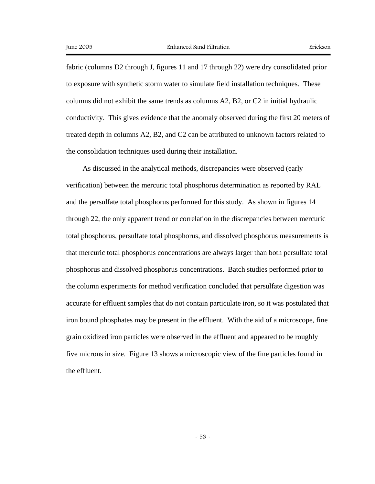fabric (columns D2 through J, figures 11 and 17 through 22) were dry consolidated prior to exposure with synthetic storm water to simulate field installation techniques. These columns did not exhibit the same trends as columns A2, B2, or C2 in initial hydraulic conductivity. This gives evidence that the anomaly observed during the first 20 meters of treated depth in columns A2, B2, and C2 can be attributed to unknown factors related to the consolidation techniques used during their installation.

As discussed in the analytical methods, discrepancies were observed (early verification) between the mercuric total phosphorus determination as reported by RAL and the persulfate total phosphorus performed for this study. As shown in figures 14 through 22, the only apparent trend or correlation in the discrepancies between mercuric total phosphorus, persulfate total phosphorus, and dissolved phosphorus measurements is that mercuric total phosphorus concentrations are always larger than both persulfate total phosphorus and dissolved phosphorus concentrations. Batch studies performed prior to the column experiments for method verification concluded that persulfate digestion was accurate for effluent samples that do not contain particulate iron, so it was postulated that iron bound phosphates may be present in the effluent. With the aid of a microscope, fine grain oxidized iron particles were observed in the effluent and appeared to be roughly five microns in size. Figure 13 shows a microscopic view of the fine particles found in the effluent.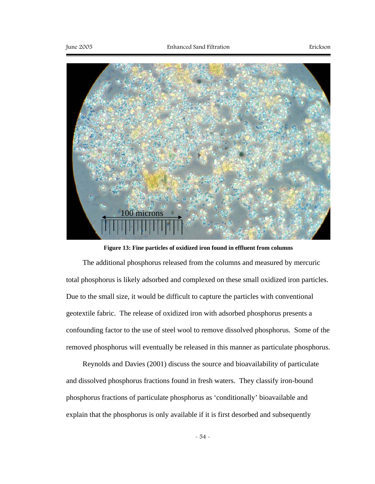

**Figure 13: Fine particles of oxidized iron found in effluent from columns** 

The additional phosphorus released from the columns and measured by mercuric total phosphorus is likely adsorbed and complexed on these small oxidized iron particles. Due to the small size, it would be difficult to capture the particles with conventional geotextile fabric. The release of oxidized iron with adsorbed phosphorus presents a confounding factor to the use of steel wool to remove dissolved phosphorus. Some of the removed phosphorus will eventually be released in this manner as particulate phosphorus.

Reynolds and Davies (2001) discuss the source and bioavailability of particulate and dissolved phosphorus fractions found in fresh waters. They classify iron-bound phosphorus fractions of particulate phosphorus as 'conditionally' bioavailable and explain that the phosphorus is only available if it is first desorbed and subsequently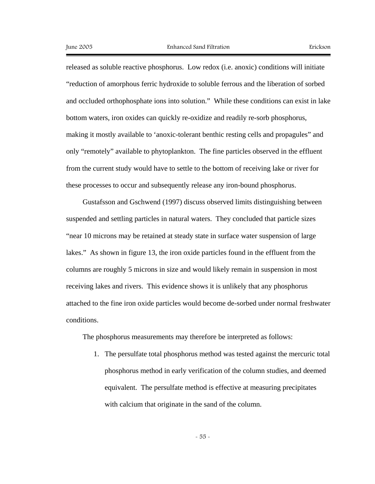released as soluble reactive phosphorus. Low redox (i.e. anoxic) conditions will initiate "reduction of amorphous ferric hydroxide to soluble ferrous and the liberation of sorbed and occluded orthophosphate ions into solution." While these conditions can exist in lake bottom waters, iron oxides can quickly re-oxidize and readily re-sorb phosphorus, making it mostly available to 'anoxic-tolerant benthic resting cells and propagules" and only "remotely" available to phytoplankton. The fine particles observed in the effluent from the current study would have to settle to the bottom of receiving lake or river for these processes to occur and subsequently release any iron-bound phosphorus.

Gustafsson and Gschwend (1997) discuss observed limits distinguishing between suspended and settling particles in natural waters. They concluded that particle sizes "near 10 microns may be retained at steady state in surface water suspension of large lakes." As shown in figure 13, the iron oxide particles found in the effluent from the columns are roughly 5 microns in size and would likely remain in suspension in most receiving lakes and rivers. This evidence shows it is unlikely that any phosphorus attached to the fine iron oxide particles would become de-sorbed under normal freshwater conditions.

The phosphorus measurements may therefore be interpreted as follows:

1. The persulfate total phosphorus method was tested against the mercuric total phosphorus method in early verification of the column studies, and deemed equivalent. The persulfate method is effective at measuring precipitates with calcium that originate in the sand of the column.

- 55 -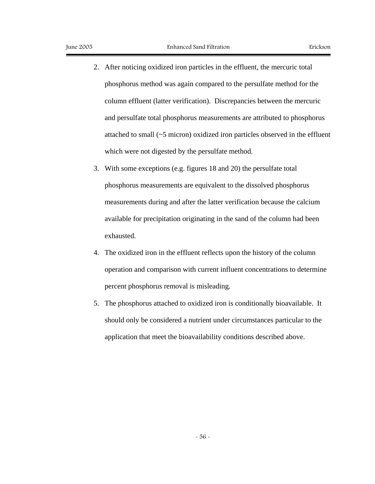- 2. After noticing oxidized iron particles in the effluent, the mercuric total phosphorus method was again compared to the persulfate method for the column effluent (latter verification). Discrepancies between the mercuric and persulfate total phosphorus measurements are attributed to phosphorus attached to small (~5 micron) oxidized iron particles observed in the effluent which were not digested by the persulfate method.
- 3. With some exceptions (e.g. figures 18 and 20) the persulfate total phosphorus measurements are equivalent to the dissolved phosphorus measurements during and after the latter verification because the calcium available for precipitation originating in the sand of the column had been exhausted.
- 4. The oxidized iron in the effluent reflects upon the history of the column operation and comparison with current influent concentrations to determine percent phosphorus removal is misleading.
- 5. The phosphorus attached to oxidized iron is conditionally bioavailable. It should only be considered a nutrient under circumstances particular to the application that meet the bioavailability conditions described above.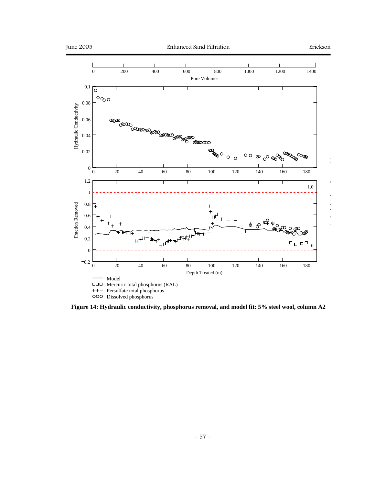

**Figure 14: Hydraulic conductivity, phosphorus removal, and model fit: 5% steel wool, column A2**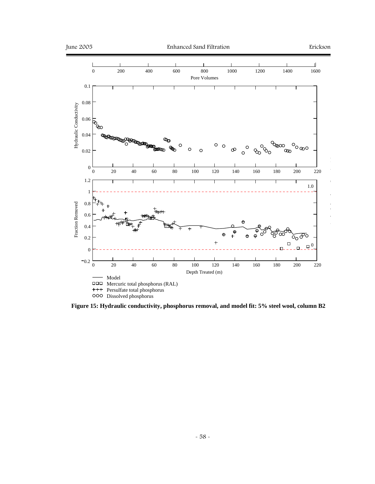

**Figure 15: Hydraulic conductivity, phosphorus removal, and model fit: 5% steel wool, column B2**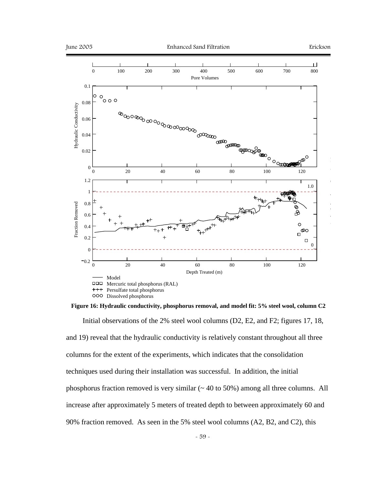

**Figure 16: Hydraulic conductivity, phosphorus removal, and model fit: 5% steel wool, column C2** 

Initial observations of the 2% steel wool columns (D2, E2, and F2; figures 17, 18, and 19) reveal that the hydraulic conductivity is relatively constant throughout all three columns for the extent of the experiments, which indicates that the consolidation techniques used during their installation was successful. In addition, the initial phosphorus fraction removed is very similar  $($   $\sim$  40 to 50%) among all three columns. All increase after approximately 5 meters of treated depth to between approximately 60 and 90% fraction removed. As seen in the 5% steel wool columns (A2, B2, and C2), this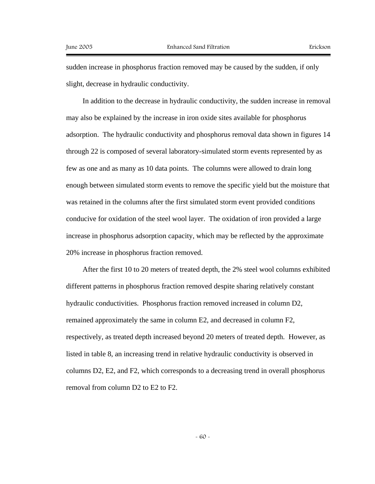sudden increase in phosphorus fraction removed may be caused by the sudden, if only slight, decrease in hydraulic conductivity.

In addition to the decrease in hydraulic conductivity, the sudden increase in removal may also be explained by the increase in iron oxide sites available for phosphorus adsorption. The hydraulic conductivity and phosphorus removal data shown in figures 14 through 22 is composed of several laboratory-simulated storm events represented by as few as one and as many as 10 data points. The columns were allowed to drain long enough between simulated storm events to remove the specific yield but the moisture that was retained in the columns after the first simulated storm event provided conditions conducive for oxidation of the steel wool layer. The oxidation of iron provided a large increase in phosphorus adsorption capacity, which may be reflected by the approximate 20% increase in phosphorus fraction removed.

After the first 10 to 20 meters of treated depth, the 2% steel wool columns exhibited different patterns in phosphorus fraction removed despite sharing relatively constant hydraulic conductivities. Phosphorus fraction removed increased in column D2, remained approximately the same in column E2, and decreased in column F2, respectively, as treated depth increased beyond 20 meters of treated depth. However, as listed in table 8, an increasing trend in relative hydraulic conductivity is observed in columns D2, E2, and F2, which corresponds to a decreasing trend in overall phosphorus removal from column D2 to E2 to F2.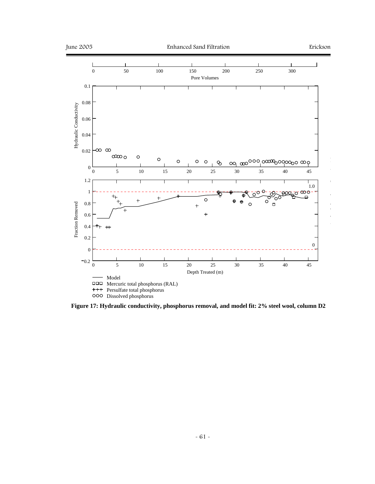

**Figure 17: Hydraulic conductivity, phosphorus removal, and model fit: 2% steel wool, column D2**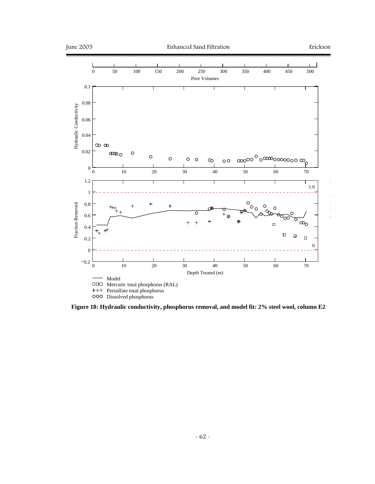

**Figure 18: Hydraulic conductivity, phosphorus removal, and model fit: 2% steel wool, column E2**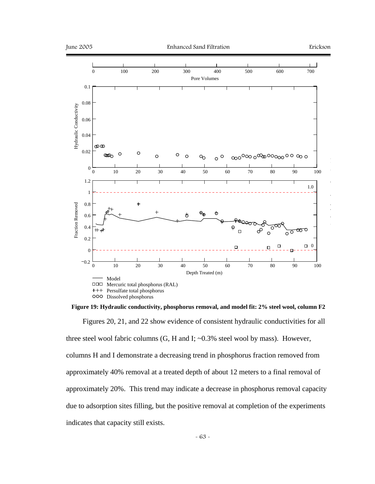

**Figure 19: Hydraulic conductivity, phosphorus removal, and model fit: 2% steel wool, column F2** 

Figures 20, 21, and 22 show evidence of consistent hydraulic conductivities for all three steel wool fabric columns (G, H and I; ~0.3% steel wool by mass). However, columns H and I demonstrate a decreasing trend in phosphorus fraction removed from approximately 40% removal at a treated depth of about 12 meters to a final removal of approximately 20%. This trend may indicate a decrease in phosphorus removal capacity due to adsorption sites filling, but the positive removal at completion of the experiments indicates that capacity still exists.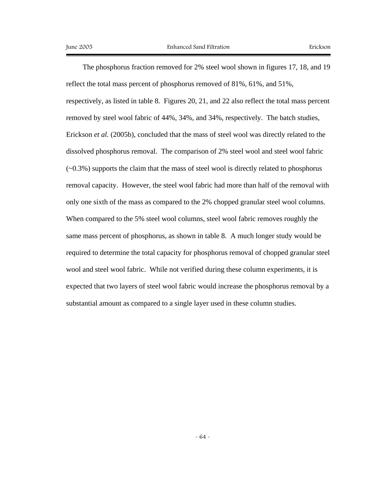The phosphorus fraction removed for 2% steel wool shown in figures 17, 18, and 19 reflect the total mass percent of phosphorus removed of 81%, 61%, and 51%, respectively, as listed in table 8. Figures 20, 21, and 22 also reflect the total mass percent removed by steel wool fabric of 44%, 34%, and 34%, respectively. The batch studies, Erickson *et al.* (2005b), concluded that the mass of steel wool was directly related to the dissolved phosphorus removal. The comparison of 2% steel wool and steel wool fabric  $(-0.3\%)$  supports the claim that the mass of steel wool is directly related to phosphorus removal capacity. However, the steel wool fabric had more than half of the removal with only one sixth of the mass as compared to the 2% chopped granular steel wool columns. When compared to the 5% steel wool columns, steel wool fabric removes roughly the same mass percent of phosphorus, as shown in table 8. A much longer study would be required to determine the total capacity for phosphorus removal of chopped granular steel wool and steel wool fabric. While not verified during these column experiments, it is expected that two layers of steel wool fabric would increase the phosphorus removal by a substantial amount as compared to a single layer used in these column studies.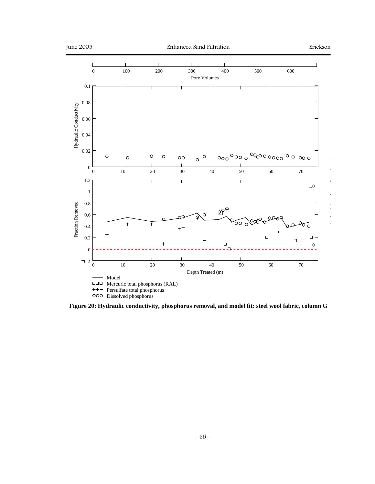

**Figure 20: Hydraulic conductivity, phosphorus removal, and model fit: steel wool fabric, column G**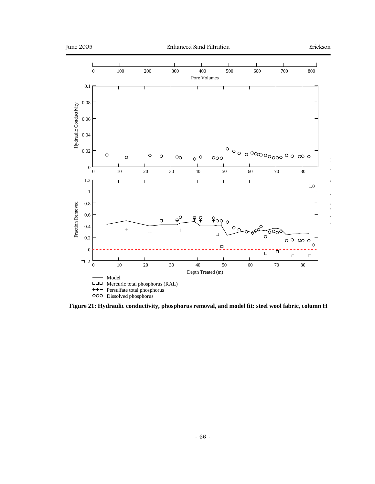

**Figure 21: Hydraulic conductivity, phosphorus removal, and model fit: steel wool fabric, column H**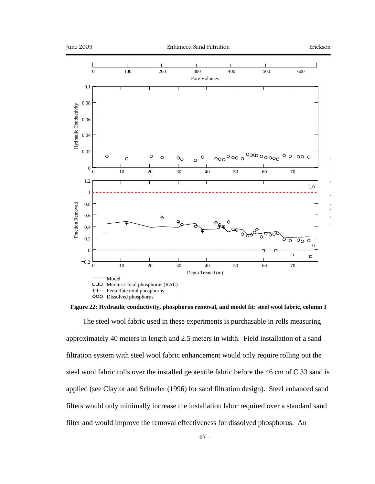

**Figure 22: Hydraulic conductivity, phosphorus removal, and model fit: steel wool fabric, column I** 

The steel wool fabric used in these experiments is purchasable in rolls measuring approximately 40 meters in length and 2.5 meters in width. Field installation of a sand filtration system with steel wool fabric enhancement would only require rolling out the steel wool fabric rolls over the installed geotextile fabric before the 46 cm of C 33 sand is applied (see Claytor and Schueler (1996) for sand filtration design). Steel enhanced sand filters would only minimally increase the installation labor required over a standard sand filter and would improve the removal effectiveness for dissolved phosphorus. An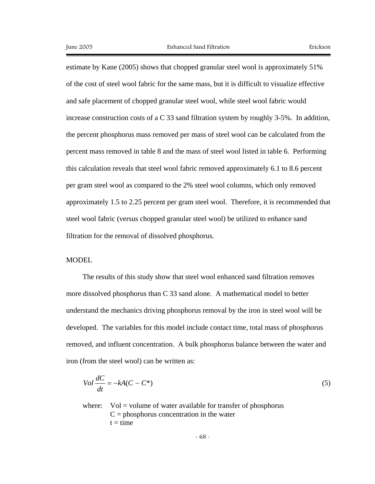estimate by Kane (2005) shows that chopped granular steel wool is approximately 51% of the cost of steel wool fabric for the same mass, but it is difficult to visualize effective and safe placement of chopped granular steel wool, while steel wool fabric would increase construction costs of a C 33 sand filtration system by roughly 3-5%. In addition, the percent phosphorus mass removed per mass of steel wool can be calculated from the percent mass removed in table 8 and the mass of steel wool listed in table 6. Performing this calculation reveals that steel wool fabric removed approximately 6.1 to 8.6 percent per gram steel wool as compared to the 2% steel wool columns, which only removed approximately 1.5 to 2.25 percent per gram steel wool. Therefore, it is recommended that steel wool fabric (versus chopped granular steel wool) be utilized to enhance sand filtration for the removal of dissolved phosphorus.

## MODEL

The results of this study show that steel wool enhanced sand filtration removes more dissolved phosphorus than C 33 sand alone. A mathematical model to better understand the mechanics driving phosphorus removal by the iron in steel wool will be developed. The variables for this model include contact time, total mass of phosphorus removed, and influent concentration. A bulk phosphorus balance between the water and iron (from the steel wool) can be written as:

$$
Vol \frac{dC}{dt} = -kA(C - C^*)
$$
\n<sup>(5)</sup>

where:  $Vol = volume of water available for transfer of phosphorus$  $C =$  phosphorus concentration in the water  $t = time$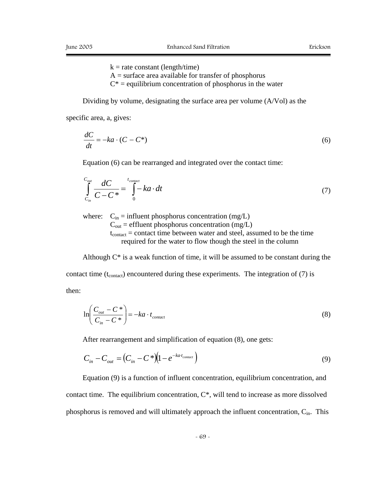$k =$ rate constant (length/time)

- $A =$  surface area available for transfer of phosphorus
- $C^*$  = equilibrium concentration of phosphorus in the water

Dividing by volume, designating the surface area per volume (A/Vol) as the

specific area, a, gives:

$$
\frac{dC}{dt} = -ka \cdot (C - C^*)\tag{6}
$$

Equation (6) can be rearranged and integrated over the contact time:

$$
\int_{C_{in}}^{C_{out}} \frac{dC}{C - C^*} = \int_{0}^{t_{contact}} k a \cdot dt
$$
\n(7)

where:  $C_{in}$  = influent phosphorus concentration (mg/L)  $C_{\text{out}}$  = effluent phosphorus concentration (mg/L)  $t_{contact}$  = contact time between water and steel, assumed to be the time required for the water to flow though the steel in the column

Although  $C^*$  is a weak function of time, it will be assumed to be constant during the contact time ( $t_{\text{contact}}$ ) encountered during these experiments. The integration of (7) is then:

*contact in*  $\left|\frac{out}{t}\right| = -ka \cdot t$  $\left(\frac{C_{out} - C^*}{C_{in} - C^*}\right) = -ka$ ⎠ ⎞  $\parallel$ ⎝  $\sqrt{}$ − − \*  $\ln\left(\frac{C_{out} - C^*}{C_{out} - C^*}\right) = -ka \cdot t_{contact}$  (8)

After rearrangement and simplification of equation (8), one gets:

$$
C_{in} - C_{out} = (C_{in} - C^*) (1 - e^{-ka \cdot t_{contact}})
$$
\n(9)

Equation (9) is a function of influent concentration, equilibrium concentration, and contact time. The equilibrium concentration,  $C^*$ , will tend to increase as more dissolved phosphorus is removed and will ultimately approach the influent concentration,  $C_{in}$ . This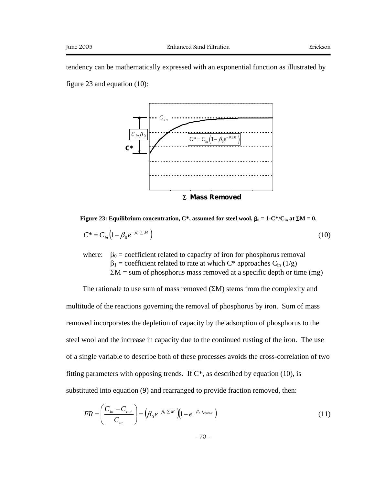tendency can be mathematically expressed with an exponential function as illustrated by figure 23 and equation (10):



<sup>Σ</sup>**Mass Removed**

## **Figure 23: Equilibrium concentration, C\*, assumed for steel wool.**  $β_0 = 1-C*/C_{in}$  **at**  $ΣM = 0$ **.**

$$
C^* = C_{in} \left( 1 - \beta_0 e^{-\beta_1 \sum M} \right) \tag{10}
$$

where:  $\beta_0$  = coefficient related to capacity of iron for phosphorus removal  $\beta_1$  = coefficient related to rate at which C\* approaches C<sub>in</sub> (1/g)  $\Sigma M$  = sum of phosphorus mass removed at a specific depth or time (mg)

The rationale to use sum of mass removed  $(EM)$  stems from the complexity and multitude of the reactions governing the removal of phosphorus by iron. Sum of mass removed incorporates the depletion of capacity by the adsorption of phosphorus to the steel wool and the increase in capacity due to the continued rusting of the iron. The use of a single variable to describe both of these processes avoids the cross-correlation of two fitting parameters with opposing trends. If  $C^*$ , as described by equation (10), is substituted into equation (9) and rearranged to provide fraction removed, then:

$$
FR = \left(\frac{C_{in} - C_{out}}{C_{in}}\right) = \left(\beta_0 e^{-\beta_1 \cdot \sum M} \left(1 - e^{-\beta_2 \cdot t_{contact}}\right)\right)
$$
 (11)

- 70 -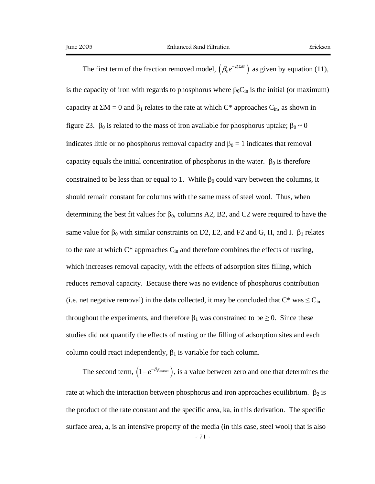The first term of the fraction removed model,  $(\beta_0 e^{-\beta_1 \Sigma M})$  $\beta_0 e^{-\beta_1 \Sigma M}$  as given by equation (11), is the capacity of iron with regards to phosphorus where  $\beta_0C_{in}$  is the initial (or maximum) capacity at  $\Sigma M = 0$  and  $\beta_1$  relates to the rate at which C\* approaches C<sub>in</sub>, as shown in figure 23.  $β_0$  is related to the mass of iron available for phosphorus uptake;  $β_0 ~ 0$ indicates little or no phosphorus removal capacity and  $\beta_0 = 1$  indicates that removal capacity equals the initial concentration of phosphorus in the water.  $\beta_0$  is therefore constrained to be less than or equal to 1. While  $\beta_0$  could vary between the columns, it should remain constant for columns with the same mass of steel wool. Thus, when determining the best fit values for  $\beta_0$ , columns A2, B2, and C2 were required to have the same value for  $\beta_0$  with similar constraints on D2, E2, and F2 and G, H, and I.  $\beta_1$  relates to the rate at which  $C^*$  approaches  $C_{in}$  and therefore combines the effects of rusting, which increases removal capacity, with the effects of adsorption sites filling, which reduces removal capacity. Because there was no evidence of phosphorus contribution (i.e. net negative removal) in the data collected, it may be concluded that  $C^*$  was  $\leq C_{in}$ throughout the experiments, and therefore  $\beta_1$  was constrained to be  $\geq 0$ . Since these studies did not quantify the effects of rusting or the filling of adsorption sites and each column could react independently,  $\beta_1$  is variable for each column.

The second term,  $(1 - e^{-\beta_2 t_{contact}})$ , is a value between zero and one that determines the rate at which the interaction between phosphorus and iron approaches equilibrium.  $β_2$  is the product of the rate constant and the specific area, ka, in this derivation. The specific surface area, a, is an intensive property of the media (in this case, steel wool) that is also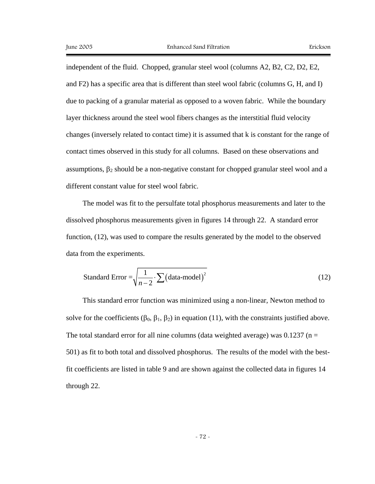independent of the fluid. Chopped, granular steel wool (columns A2, B2, C2, D2, E2, and F2) has a specific area that is different than steel wool fabric (columns G, H, and I) due to packing of a granular material as opposed to a woven fabric. While the boundary layer thickness around the steel wool fibers changes as the interstitial fluid velocity changes (inversely related to contact time) it is assumed that k is constant for the range of contact times observed in this study for all columns. Based on these observations and assumptions,  $\beta_2$  should be a non-negative constant for chopped granular steel wool and a different constant value for steel wool fabric.

The model was fit to the persulfate total phosphorus measurements and later to the dissolved phosphorus measurements given in figures 14 through 22. A standard error function, (12), was used to compare the results generated by the model to the observed data from the experiments.

Standard Error = 
$$
\sqrt{\frac{1}{n-2} \cdot \sum (\text{data-model})^2}
$$
 (12)

This standard error function was minimized using a non-linear, Newton method to solve for the coefficients ( $\beta_0$ ,  $\beta_1$ ,  $\beta_2$ ) in equation (11), with the constraints justified above. The total standard error for all nine columns (data weighted average) was  $0.1237$  (n = 501) as fit to both total and dissolved phosphorus. The results of the model with the bestfit coefficients are listed in table 9 and are shown against the collected data in figures 14 through 22.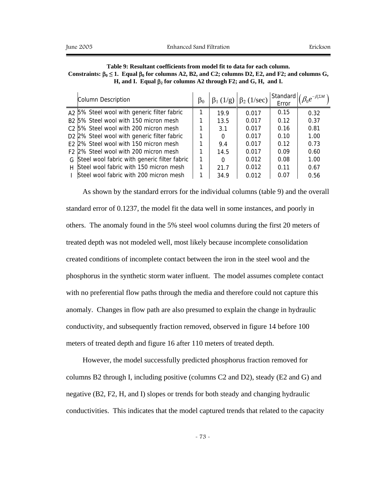|    | Column Description                                      | $\beta_0$ |          | $\beta_1$ (1/g) $\beta_2$ (1/sec) | Standard<br>Error | $\beta_0 e^{-\beta_1 \Sigma M}$ |
|----|---------------------------------------------------------|-----------|----------|-----------------------------------|-------------------|---------------------------------|
|    | A <sub>2</sub> 5% Steel wool with generic filter fabric |           | 19.9     | 0.017                             | 0.15              | 0.32                            |
|    | B <sub>2</sub> 5% Steel wool with 150 micron mesh       |           | 13.5     | 0.017                             | 0.12              | 0.37                            |
|    | C <sub>2</sub> 5% Steel wool with 200 micron mesh       |           | 3.1      | 0.017                             | 0.16              | 0.81                            |
|    | D2 2% Steel wool with generic filter fabric             |           | $\Omega$ | 0.017                             | 0.10              | 1.00                            |
|    | E <sub>2</sub> 2% Steel wool with 150 micron mesh       |           | 9.4      | 0.017                             | 0.12              | 0.73                            |
|    | F <sub>2</sub> 2% Steel wool with 200 micron mesh       |           | 14.5     | 0.017                             | 0.09              | 0.60                            |
|    | G Steel wool fabric with generic filter fabric          | 1         | 0        | 0.012                             | 0.08              | 1.00                            |
| H. | Steel wool fabric with 150 micron mesh                  | 1         | 21.7     | 0.012                             | 0.11              | 0.67                            |
|    | Steel wool fabric with 200 micron mesh                  |           | 34.9     | 0.012                             | 0.07              | 0.56                            |

| Table 9: Resultant coefficients from model fit to data for each column.                                           |
|-------------------------------------------------------------------------------------------------------------------|
| Constraints: $\beta_0 \le 1$ . Equal $\beta_0$ for columns A2, B2, and C2; columns D2, E2, and F2; and columns G, |
| H, and I. Equal $\beta_2$ for columns A2 through F2; and G, H, and I.                                             |

As shown by the standard errors for the individual columns (table 9) and the overall standard error of 0.1237, the model fit the data well in some instances, and poorly in others. The anomaly found in the 5% steel wool columns during the first 20 meters of treated depth was not modeled well, most likely because incomplete consolidation created conditions of incomplete contact between the iron in the steel wool and the phosphorus in the synthetic storm water influent. The model assumes complete contact with no preferential flow paths through the media and therefore could not capture this anomaly. Changes in flow path are also presumed to explain the change in hydraulic conductivity, and subsequently fraction removed, observed in figure 14 before 100 meters of treated depth and figure 16 after 110 meters of treated depth.

However, the model successfully predicted phosphorus fraction removed for columns B2 through I, including positive (columns C2 and D2), steady (E2 and G) and negative (B2, F2, H, and I) slopes or trends for both steady and changing hydraulic conductivities. This indicates that the model captured trends that related to the capacity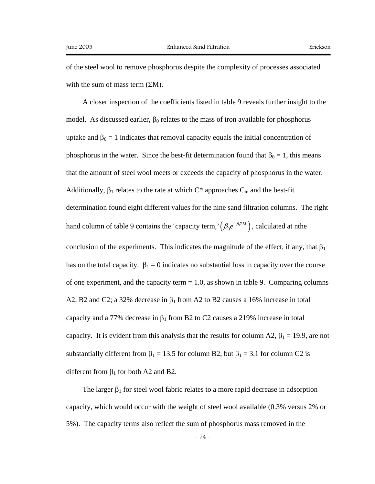of the steel wool to remove phosphorus despite the complexity of processes associated with the sum of mass term  $(2M)$ .

A closer inspection of the coefficients listed in table 9 reveals further insight to the model. As discussed earlier,  $\beta_0$  relates to the mass of iron available for phosphorus uptake and  $\beta_0 = 1$  indicates that removal capacity equals the initial concentration of phosphorus in the water. Since the best-fit determination found that  $\beta_0 = 1$ , this means that the amount of steel wool meets or exceeds the capacity of phosphorus in the water. Additionally,  $\beta_1$  relates to the rate at which  $C^*$  approaches  $C_{in}$  and the best-fit determination found eight different values for the nine sand filtration columns. The right hand column of table 9 contains the 'capacity term,'  $(\beta_0 e^{-\beta_1 \Sigma M})$  $\beta_0 e^{-\beta_1 \Sigma M}$ ), calculated at nthe conclusion of the experiments. This indicates the magnitude of the effect, if any, that  $\beta_1$ has on the total capacity.  $\beta_1 = 0$  indicates no substantial loss in capacity over the course of one experiment, and the capacity term  $= 1.0$ , as shown in table 9. Comparing columns A2, B2 and C2; a 32% decrease in  $\beta_1$  from A2 to B2 causes a 16% increase in total capacity and a 77% decrease in  $\beta_1$  from B2 to C2 causes a 219% increase in total capacity. It is evident from this analysis that the results for column A2,  $\beta_1 = 19.9$ , are not substantially different from  $\beta_1 = 13.5$  for column B2, but  $\beta_1 = 3.1$  for column C2 is different from  $\beta_1$  for both A2 and B2.

The larger  $\beta_1$  for steel wool fabric relates to a more rapid decrease in adsorption capacity, which would occur with the weight of steel wool available (0.3% versus 2% or 5%). The capacity terms also reflect the sum of phosphorus mass removed in the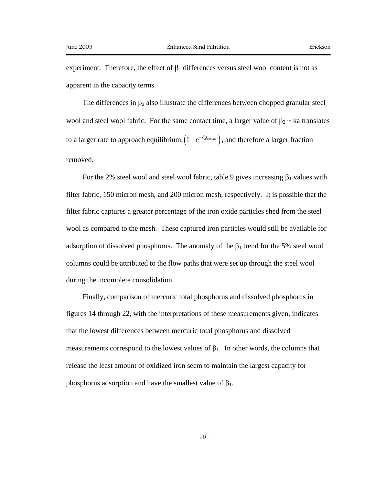experiment. Therefore, the effect of  $\beta_1$  differences versus steel wool content is not as apparent in the capacity terms.

The differences in  $\beta_2$  also illustrate the differences between chopped granular steel wool and steel wool fabric. For the same contact time, a larger value of  $\beta_2 \sim$  ka translates to a larger rate to approach equilibrium,  $(1 - e^{-\beta_2 t_{contact}})$ , and therefore a larger fraction removed.

For the 2% steel wool and steel wool fabric, table 9 gives increasing  $\beta_1$  values with filter fabric, 150 micron mesh, and 200 micron mesh, respectively. It is possible that the filter fabric captures a greater percentage of the iron oxide particles shed from the steel wool as compared to the mesh. These captured iron particles would still be available for adsorption of dissolved phosphorus. The anomaly of the  $\beta_1$  trend for the 5% steel wool columns could be attributed to the flow paths that were set up through the steel wool during the incomplete consolidation.

Finally, comparison of mercuric total phosphorus and dissolved phosphorus in figures 14 through 22, with the interpretations of these measurements given, indicates that the lowest differences between mercuric total phosphorus and dissolved measurements correspond to the lowest values of  $\beta_1$ . In other words, the columns that release the least amount of oxidized iron seem to maintain the largest capacity for phosphorus adsorption and have the smallest value of  $β_1$ .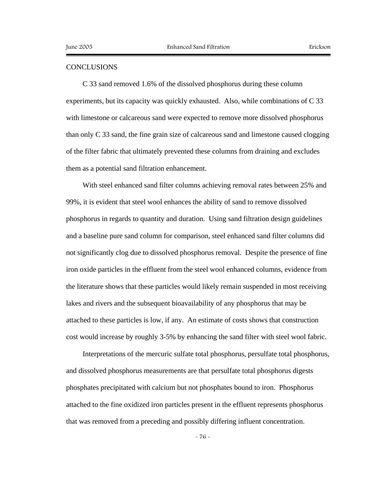## **CONCLUSIONS**

C 33 sand removed 1.6% of the dissolved phosphorus during these column experiments, but its capacity was quickly exhausted. Also, while combinations of C 33 with limestone or calcareous sand were expected to remove more dissolved phosphorus than only C 33 sand, the fine grain size of calcareous sand and limestone caused clogging of the filter fabric that ultimately prevented these columns from draining and excludes them as a potential sand filtration enhancement.

With steel enhanced sand filter columns achieving removal rates between 25% and 99%, it is evident that steel wool enhances the ability of sand to remove dissolved phosphorus in regards to quantity and duration. Using sand filtration design guidelines and a baseline pure sand column for comparison, steel enhanced sand filter columns did not significantly clog due to dissolved phosphorus removal. Despite the presence of fine iron oxide particles in the effluent from the steel wool enhanced columns, evidence from the literature shows that these particles would likely remain suspended in most receiving lakes and rivers and the subsequent bioavailability of any phosphorus that may be attached to these particles is low, if any. An estimate of costs shows that construction cost would increase by roughly 3-5% by enhancing the sand filter with steel wool fabric.

Interpretations of the mercuric sulfate total phosphorus, persulfate total phosphorus, and dissolved phosphorus measurements are that persulfate total phosphorus digests phosphates precipitated with calcium but not phosphates bound to iron. Phosphorus attached to the fine oxidized iron particles present in the effluent represents phosphorus that was removed from a preceding and possibly differing influent concentration.

- 76 -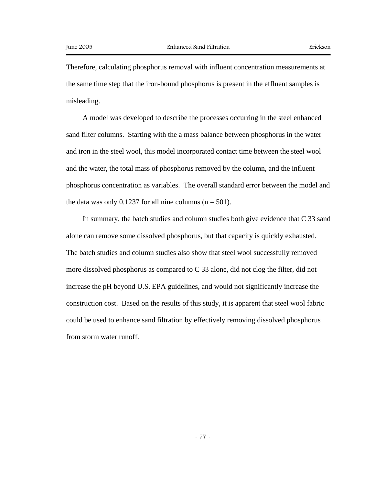Therefore, calculating phosphorus removal with influent concentration measurements at the same time step that the iron-bound phosphorus is present in the effluent samples is misleading.

A model was developed to describe the processes occurring in the steel enhanced sand filter columns. Starting with the a mass balance between phosphorus in the water and iron in the steel wool, this model incorporated contact time between the steel wool and the water, the total mass of phosphorus removed by the column, and the influent phosphorus concentration as variables. The overall standard error between the model and the data was only 0.1237 for all nine columns ( $n = 501$ ).

In summary, the batch studies and column studies both give evidence that C 33 sand alone can remove some dissolved phosphorus, but that capacity is quickly exhausted. The batch studies and column studies also show that steel wool successfully removed more dissolved phosphorus as compared to C 33 alone, did not clog the filter, did not increase the pH beyond U.S. EPA guidelines, and would not significantly increase the construction cost. Based on the results of this study, it is apparent that steel wool fabric could be used to enhance sand filtration by effectively removing dissolved phosphorus from storm water runoff.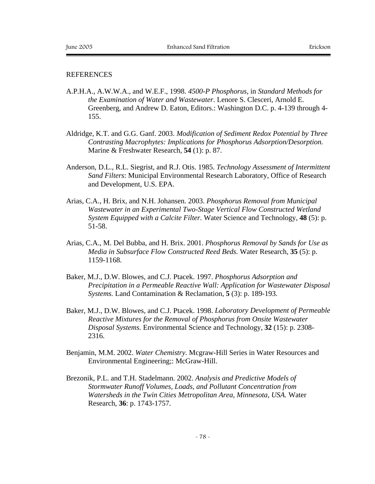## **REFERENCES**

- A.P.H.A., A.W.W.A., and W.E.F., 1998. *4500-P Phosphorus*, in *Standard Methods for the Examination of Water and Wastewater*. Lenore S. Clesceri, Arnold E. Greenberg, and Andrew D. Eaton, Editors.: Washington D.C. p. 4-139 through 4- 155.
- Aldridge, K.T. and G.G. Ganf. 2003. *Modification of Sediment Redox Potential by Three Contrasting Macrophytes: Implications for Phosphorus Adsorption/Desorption.* Marine & Freshwater Research, **54** (1): p. 87.
- Anderson, D.L., R.L. Siegrist, and R.J. Otis. 1985. *Technology Assessment of Intermittent Sand Filters*: Municipal Environmental Research Laboratory, Office of Research and Development, U.S. EPA.
- Arias, C.A., H. Brix, and N.H. Johansen. 2003. *Phosphorus Removal from Municipal Wastewater in an Experimental Two-Stage Vertical Flow Constructed Wetland System Equipped with a Calcite Filter.* Water Science and Technology, **48** (5): p. 51-58.
- Arias, C.A., M. Del Bubba, and H. Brix. 2001. *Phosphorus Removal by Sands for Use as Media in Subsurface Flow Constructed Reed Beds.* Water Research, **35** (5): p. 1159-1168.
- Baker, M.J., D.W. Blowes, and C.J. Ptacek. 1997. *Phosphorus Adsorption and Precipitation in a Permeable Reactive Wall: Application for Wastewater Disposal Systems.* Land Contamination & Reclamation, **5** (3): p. 189-193.
- Baker, M.J., D.W. Blowes, and C.J. Ptacek. 1998. *Laboratory Development of Permeable Reactive Mixtures for the Removal of Phosphorus from Onsite Wastewater Disposal Systems.* Environmental Science and Technology, **32** (15): p. 2308- 2316.
- Benjamin, M.M. 2002. *Water Chemistry*. Mcgraw-Hill Series in Water Resources and Environmental Engineering;: McGraw-Hill.
- Brezonik, P.L. and T.H. Stadelmann. 2002. *Analysis and Predictive Models of Stormwater Runoff Volumes, Loads, and Pollutant Concentration from Watersheds in the Twin Cities Metropolitan Area, Minnesota, USA.* Water Research, **36**: p. 1743-1757.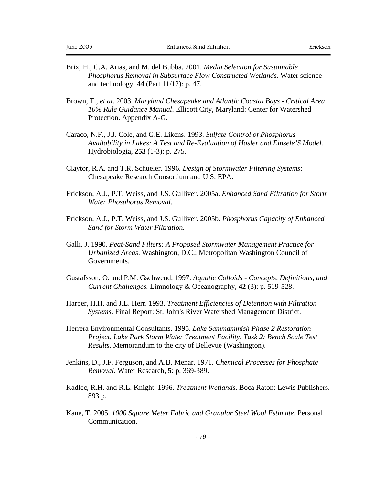- Brix, H., C.A. Arias, and M. del Bubba. 2001. *Media Selection for Sustainable Phosphorus Removal in Subsurface Flow Constructed Wetlands.* Water science and technology, **44** (Part 11/12): p. 47.
- Brown, T.*, et al.* 2003. *Maryland Chesapeake and Atlantic Coastal Bays Critical Area 10% Rule Guidance Manual*. Ellicott City, Maryland: Center for Watershed Protection. Appendix A-G.
- Caraco, N.F., J.J. Cole, and G.E. Likens. 1993. *Sulfate Control of Phosphorus Availability in Lakes: A Test and Re-Evaluation of Hasler and Einsele'S Model.* Hydrobiologia, **253** (1-3): p. 275.
- Claytor, R.A. and T.R. Schueler. 1996. *Design of Stormwater Filtering Systems*: Chesapeake Research Consortium and U.S. EPA.
- Erickson, A.J., P.T. Weiss, and J.S. Gulliver. 2005a. *Enhanced Sand Filtration for Storm Water Phosphorus Removal.*
- Erickson, A.J., P.T. Weiss, and J.S. Gulliver. 2005b. *Phosphorus Capacity of Enhanced Sand for Storm Water Filtration.*
- Galli, J. 1990. *Peat-Sand Filters: A Proposed Stormwater Management Practice for Urbanized Areas*. Washington, D.C.: Metropolitan Washington Council of Governments.
- Gustafsson, O. and P.M. Gschwend. 1997. *Aquatic Colloids Concepts, Definitions, and Current Challenges.* Limnology & Oceanography, **42** (3): p. 519-528.
- Harper, H.H. and J.L. Herr. 1993. *Treatment Efficiencies of Detention with Filtration Systems*. Final Report: St. John's River Watershed Management District.
- Herrera Environmental Consultants. 1995. *Lake Sammammish Phase 2 Restoration Project, Lake Park Storm Water Treatment Facility, Task 2: Bench Scale Test Results*. Memorandum to the city of Bellevue (Washington).
- Jenkins, D., J.F. Ferguson, and A.B. Menar. 1971. *Chemical Processes for Phosphate Removal.* Water Research, **5**: p. 369-389.
- Kadlec, R.H. and R.L. Knight. 1996. *Treatment Wetlands*. Boca Raton: Lewis Publishers. 893 p.
- Kane, T. 2005. *1000 Square Meter Fabric and Granular Steel Wool Estimate*. Personal Communication.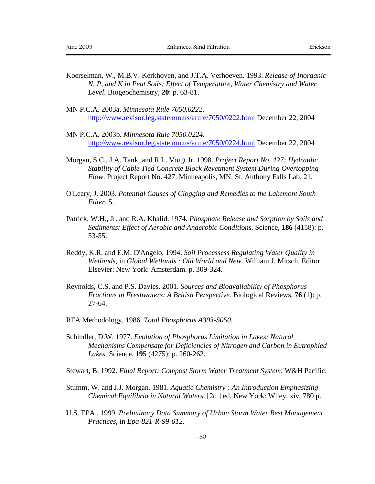- Koerselman, W., M.B.V. Kerkhoven, and J.T.A. Verhoeven. 1993. *Release of Inorganic N, P, and K in Peat Soils; Effect of Temperature, Water Chemistry and Water Level.* Biogeochemistry, **20**: p. 63-81.
- MN P.C.A. 2003a. *Minnesota Rule 7050.0222*. http://www.revisor.leg.state.mn.us/arule/7050/0222.html December 22, 2004
- MN P.C.A. 2003b. *Minnesota Rule 7050.0224*. http://www.revisor.leg.state.mn.us/arule/7050/0224.html December 22, 2004
- Morgan, S.C., J.A. Tank, and R.L. Voigt Jr. 1998. *Project Report No. 427: Hydraulic Stability of Cable Tied Concrete Block Revetment System During Overtopping Flow*. Project Report No. 427. Minneapolis, MN: St. Anthony Falls Lab. 21.
- O'Leary, J. 2003. *Potential Causes of Clogging and Remedies to the Lakemont South Filter*. 5.
- Patrick, W.H., Jr. and R.A. Khalid. 1974. *Phosphate Release and Sorption by Soils and Sediments: Effect of Aerobic and Anaerobic Conditions.* Science, **186** (4158): p. 53-55.
- Reddy, K.R. and E.M. D'Angelo, 1994. *Soil Processess Regulating Water Quality in Wetlands*, in *Global Wetlands : Old World and New*. William J. Mitsch, Editor Elsevier: New York: Amsterdam. p. 309-324.
- Reynolds, C.S. and P.S. Davies. 2001. *Sources and Bioavailability of Phosphorus Fractions in Freshwaters: A British Perspective.* Biological Reviews, **76** (1): p. 27-64.
- RFA Methodology, 1986. *Total Phosphorus A303-S050*.
- Schindler, D.W. 1977. *Evolution of Phosphorus Limitation in Lakes: Natural Mechanisms Compensate for Deficiencies of Nitrogen and Carbon in Eutrophied Lakes.* Science, **195** (4275): p. 260-262.
- Stewart, B. 1992. *Final Report: Compost Storm Water Treatment System*: W&H Pacific.
- Stumm, W. and J.J. Morgan. 1981. *Aquatic Chemistry : An Introduction Emphasizing Chemical Equilibria in Natural Waters*. [2d ] ed. New York: Wiley. xiv, 780 p.
- U.S. EPA., 1999. *Preliminary Data Summary of Urban Storm Water Best Management Practices*, in *Epa-821-R-99-012*.